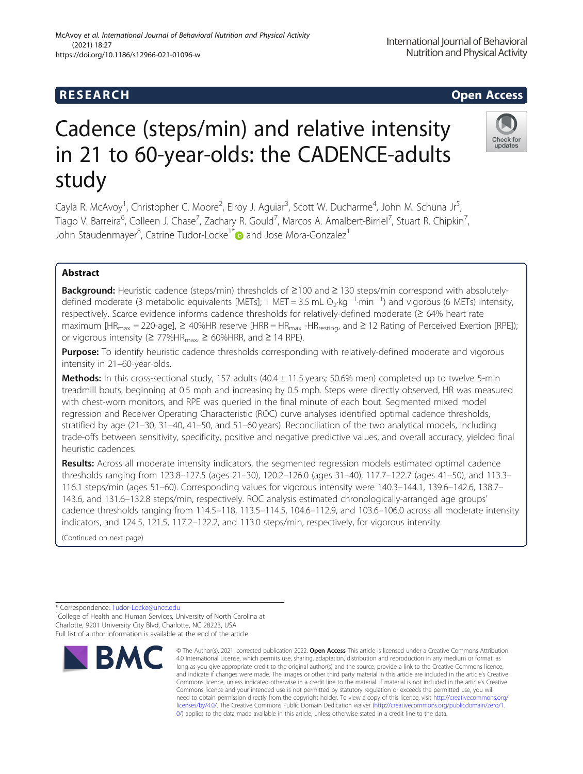# Cadence (steps/min) and relative intensity in 21 to 60-year-olds: the CADENCE-adults study

Cayla R. McAvoy<sup>1</sup>, Christopher C. Moore<sup>2</sup>, Elroy J. Aguiar<sup>3</sup>, Scott W. Ducharme<sup>4</sup>, John M. Schuna Jr<sup>5</sup> , Tiago V. Barreira<sup>6</sup>, Colleen J. Chase<sup>7</sup>, Zachary R. Gould<sup>7</sup>, Marcos A. Amalbert-Birriel<sup>7</sup>, Stuart R. Chipkin<sup>7</sup> , John Staudenmayer<sup>8</sup>, Catrine Tudor-Locke<sup>1[\\*](http://orcid.org/0000-0003-4342-5909)</sup> and Jose Mora-Gonzalez<sup>1</sup>

# Abstract

Background: Heuristic cadence (steps/min) thresholds of ≥100 and ≥ 130 steps/min correspond with absolutelydefined moderate (3 metabolic equivalents [METs]; 1 MET = 3.5 mL O<sub>2</sub>·kg<sup>-1</sup>·min<sup>-1</sup>) and vigorous (6 METs) intensity, respectively. Scarce evidence informs cadence thresholds for relatively-defined moderate (≥ 64% heart rate maximum [HR<sub>max</sub> = 220-age],  $\geq$  40%HR reserve [HRR = HR<sub>max</sub> -HR<sub>resting</sub>, and  $\geq$  12 Rating of Perceived Exertion [RPE]); or vigorous intensity ( $\geq$  77%HR<sub>max</sub>,  $\geq$  60%HRR, and  $\geq$  14 RPE).

Purpose: To identify heuristic cadence thresholds corresponding with relatively-defined moderate and vigorous intensity in 21–60-year-olds.

Methods: In this cross-sectional study, 157 adults (40.4 ± 11.5 years; 50.6% men) completed up to twelve 5-min treadmill bouts, beginning at 0.5 mph and increasing by 0.5 mph. Steps were directly observed, HR was measured with chest-worn monitors, and RPE was queried in the final minute of each bout. Segmented mixed model regression and Receiver Operating Characteristic (ROC) curve analyses identified optimal cadence thresholds, stratified by age (21–30, 31–40, 41–50, and 51–60 years). Reconciliation of the two analytical models, including trade-offs between sensitivity, specificity, positive and negative predictive values, and overall accuracy, yielded final heuristic cadences.

Results: Across all moderate intensity indicators, the segmented regression models estimated optimal cadence thresholds ranging from 123.8–127.5 (ages 21–30), 120.2–126.0 (ages 31–40), 117.7–122.7 (ages 41–50), and 113.3– 116.1 steps/min (ages 51–60). Corresponding values for vigorous intensity were 140.3–144.1, 139.6–142.6, 138.7– 143.6, and 131.6–132.8 steps/min, respectively. ROC analysis estimated chronologically-arranged age groups' cadence thresholds ranging from 114.5–118, 113.5–114.5, 104.6–112.9, and 103.6–106.0 across all moderate intensity indicators, and 124.5, 121.5, 117.2–122.2, and 113.0 steps/min, respectively, for vigorous intensity.

(Continued on next page)

\* Correspondence: [Tudor-Locke@uncc.edu](mailto:Tudor-Locke@uncc.edu) <sup>1</sup> <sup>1</sup>College of Health and Human Services, University of North Carolina at

Charlotte, 9201 University City Blvd, Charlotte, NC 28223, USA Full list of author information is available at the end of the article



<sup>©</sup> The Author(s). 2021, corrected publication 2022. Open Access This article is licensed under a Creative Commons Attribution 4.0 International License, which permits use, sharing, adaptation, distribution and reproduction in any medium or format, as long as you give appropriate credit to the original author(s) and the source, provide a link to the Creative Commons licence, and indicate if changes were made. The images or other third party material in this article are included in the article's Creative Commons licence, unless indicated otherwise in a credit line to the material. If material is not included in the article's Creative Commons licence and your intended use is not permitted by statutory regulation or exceeds the permitted use, you will need to obtain permission directly from the copyright holder. To view a copy of this licence, visit [http://creativecommons.org/](http://creativecommons.org/licenses/by/4.0/) [licenses/by/4.0/.](http://creativecommons.org/licenses/by/4.0/) The Creative Commons Public Domain Dedication waiver [\(http://creativecommons.org/publicdomain/zero/1.](http://creativecommons.org/publicdomain/zero/1.0/) [0/\)](http://creativecommons.org/publicdomain/zero/1.0/) applies to the data made available in this article, unless otherwise stated in a credit line to the data.



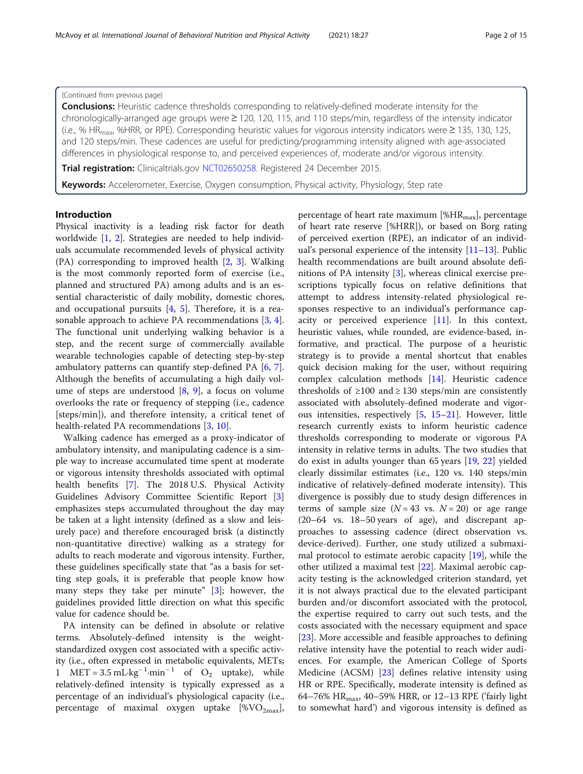# (Continued from previous page)

**Conclusions:** Heuristic cadence thresholds corresponding to relatively-defined moderate intensity for the chronologically-arranged age groups were ≥ 120, 120, 115, and 110 steps/min, regardless of the intensity indicator (i.e., % HR<sub>max</sub>, %HRR, or RPE). Corresponding heuristic values for vigorous intensity indicators were  $\geq$  135, 130, 125, and 120 steps/min. These cadences are useful for predicting/programming intensity aligned with age-associated differences in physiological response to, and perceived experiences of, moderate and/or vigorous intensity.

Trial registration: Clinicaltrials.gov [NCT02650258.](https://clinicaltrials.gov/ct2/show/NCT02650258?term=cadence-adults&draw=2&rank=1) Registered 24 December 2015.

Keywords: Accelerometer, Exercise, Oxygen consumption, Physical activity, Physiology, Step rate

# Introduction

Physical inactivity is a leading risk factor for death worldwide [1, 2]. Strategies are needed to help individuals accumulate recommended levels of physical activity (PA) corresponding to improved health [2, 3]. Walking is the most commonly reported form of exercise (i.e., planned and structured PA) among adults and is an essential characteristic of daily mobility, domestic chores, and occupational pursuits  $[4, 5]$ . Therefore, it is a reasonable approach to achieve PA recommendations [3, 4]. The functional unit underlying walking behavior is a step, and the recent surge of commercially available wearable technologies capable of detecting step-by-step ambulatory patterns can quantify step-defined PA [6, 7]. Although the benefits of accumulating a high daily volume of steps are understood [8, 9], a focus on volume overlooks the rate or frequency of stepping (i.e., cadence [steps/min]), and therefore intensity, a critical tenet of health-related PA recommendations [3, 10].

Walking cadence has emerged as a proxy-indicator of ambulatory intensity, and manipulating cadence is a simple way to increase accumulated time spent at moderate or vigorous intensity thresholds associated with optimal health benefits [7]. The 2018 U.S. Physical Activity Guidelines Advisory Committee Scientific Report [3] emphasizes steps accumulated throughout the day may be taken at a light intensity (defined as a slow and leisurely pace) and therefore encouraged brisk (a distinctly non-quantitative directive) walking as a strategy for adults to reach moderate and vigorous intensity. Further, these guidelines specifically state that "as a basis for setting step goals, it is preferable that people know how many steps they take per minute" [3]; however, the guidelines provided little direction on what this specific value for cadence should be.

PA intensity can be defined in absolute or relative terms. Absolutely-defined intensity is the weightstandardized oxygen cost associated with a specific activity (i.e., often expressed in metabolic equivalents, METs; 1 MET =  $3.5 \text{ mL} \cdot \text{kg}^{-1} \cdot \text{min}^{-1}$  of O<sub>2</sub> uptake), while relatively-defined intensity is typically expressed as a percentage of an individual's physiological capacity (i.e., percentage of maximal oxygen uptake  $[\%VO_{2max}]$ , percentage of heart rate maximum [% $HR_{max}$ ], percentage of heart rate reserve [%HRR]), or based on Borg rating of perceived exertion (RPE), an indicator of an individual's personal experience of the intensity  $[11-13]$ . Public health recommendations are built around absolute definitions of PA intensity [3], whereas clinical exercise prescriptions typically focus on relative definitions that attempt to address intensity-related physiological responses respective to an individual's performance capacity or perceived experience [11]. In this context, heuristic values, while rounded, are evidence-based, informative, and practical. The purpose of a heuristic strategy is to provide a mental shortcut that enables quick decision making for the user, without requiring complex calculation methods [14]. Heuristic cadence thresholds of  $\geq 100$  and  $\geq 130$  steps/min are consistently associated with absolutely-defined moderate and vigorous intensities, respectively [5, 15–21]. However, little research currently exists to inform heuristic cadence thresholds corresponding to moderate or vigorous PA intensity in relative terms in adults. The two studies that do exist in adults younger than 65 years [19, 22] yielded clearly dissimilar estimates (i.e., 120 vs. 140 steps/min indicative of relatively-defined moderate intensity). This divergence is possibly due to study design differences in terms of sample size ( $N = 43$  vs.  $N = 20$ ) or age range (20–64 vs. 18–50 years of age), and discrepant approaches to assessing cadence (direct observation vs. device-derived). Further, one study utilized a submaximal protocol to estimate aerobic capacity [19], while the other utilized a maximal test [22]. Maximal aerobic capacity testing is the acknowledged criterion standard, yet it is not always practical due to the elevated participant burden and/or discomfort associated with the protocol, the expertise required to carry out such tests, and the costs associated with the necessary equipment and space [23]. More accessible and feasible approaches to defining relative intensity have the potential to reach wider audiences. For example, the American College of Sports Medicine (ACSM) [23] defines relative intensity using HR or RPE. Specifically, moderate intensity is defined as 64–76% HR<sub>max</sub>, 40–59% HRR, or 12–13 RPE ('fairly light to somewhat hard') and vigorous intensity is defined as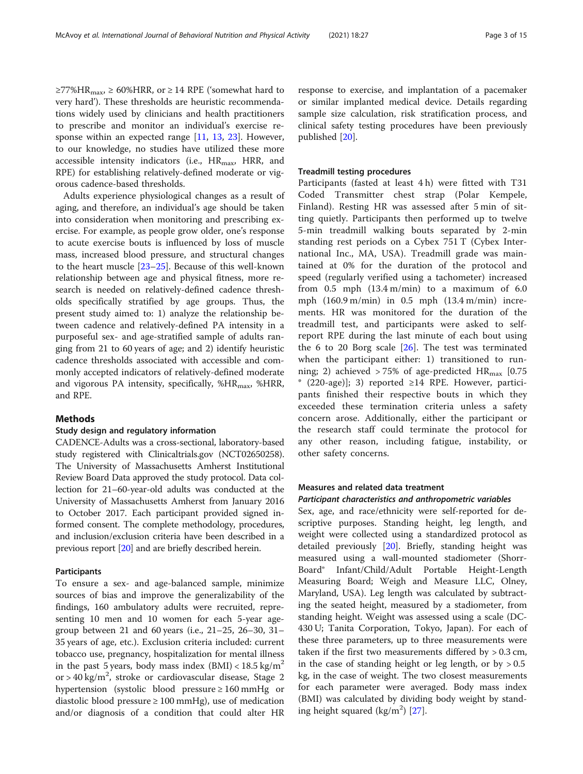≥77%HR<sub>max</sub>, ≥ 60%HRR, or ≥ 14 RPE ('somewhat hard to very hard'). These thresholds are heuristic recommendations widely used by clinicians and health practitioners to prescribe and monitor an individual's exercise response within an expected range [\[11](#page-13-0), [13,](#page-13-0) [23\]](#page-13-0). However, to our knowledge, no studies have utilized these more accessible intensity indicators (i.e.,  $HR_{max}$ , HRR, and RPE) for establishing relatively-defined moderate or vigorous cadence-based thresholds.

Adults experience physiological changes as a result of aging, and therefore, an individual's age should be taken into consideration when monitoring and prescribing exercise. For example, as people grow older, one's response to acute exercise bouts is influenced by loss of muscle mass, increased blood pressure, and structural changes to the heart muscle [[23](#page-13-0)–[25](#page-13-0)]. Because of this well-known relationship between age and physical fitness, more research is needed on relatively-defined cadence thresholds specifically stratified by age groups. Thus, the present study aimed to: 1) analyze the relationship between cadence and relatively-defined PA intensity in a purposeful sex- and age-stratified sample of adults ranging from 21 to 60 years of age; and 2) identify heuristic cadence thresholds associated with accessible and commonly accepted indicators of relatively-defined moderate and vigorous PA intensity, specifically,  $%HR_{max}$ ,  $%HRR$ , and RPE.

# **Methods**

# Study design and regulatory information

CADENCE-Adults was a cross-sectional, laboratory-based study registered with Clinicaltrials.gov (NCT02650258). The University of Massachusetts Amherst Institutional Review Board Data approved the study protocol. Data collection for 21–60-year-old adults was conducted at the University of Massachusetts Amherst from January 2016 to October 2017. Each participant provided signed informed consent. The complete methodology, procedures, and inclusion/exclusion criteria have been described in a previous report [[20](#page-13-0)] and are briefly described herein.

# Participants

To ensure a sex- and age-balanced sample, minimize sources of bias and improve the generalizability of the findings, 160 ambulatory adults were recruited, representing 10 men and 10 women for each 5-year agegroup between 21 and 60 years (i.e., 21–25, 26–30, 31– 35 years of age, etc.). Exclusion criteria included: current tobacco use, pregnancy, hospitalization for mental illness in the past 5 years, body mass index  $(BMI) < 18.5 \text{ kg/m}^2$ or > 40 kg/m<sup>2</sup>, stroke or cardiovascular disease, Stage 2 hypertension (systolic blood pressure ≥ 160 mmHg or diastolic blood pressure ≥ 100 mmHg), use of medication and/or diagnosis of a condition that could alter HR

response to exercise, and implantation of a pacemaker or similar implanted medical device. Details regarding sample size calculation, risk stratification process, and clinical safety testing procedures have been previously published [\[20](#page-13-0)].

# Treadmill testing procedures

Participants (fasted at least 4 h) were fitted with T31 Coded Transmitter chest strap (Polar Kempele, Finland). Resting HR was assessed after 5 min of sitting quietly. Participants then performed up to twelve 5-min treadmill walking bouts separated by 2-min standing rest periods on a Cybex 751 T (Cybex International Inc., MA, USA). Treadmill grade was maintained at 0% for the duration of the protocol and speed (regularly verified using a tachometer) increased from  $0.5$  mph  $(13.4 \text{ m/min})$  to a maximum of  $6.0$ mph (160.9 m/min) in 0.5 mph (13.4 m/min) increments. HR was monitored for the duration of the treadmill test, and participants were asked to selfreport RPE during the last minute of each bout using the 6 to 20 Borg scale  $[26]$  $[26]$ . The test was terminated when the participant either: 1) transitioned to running; 2) achieved > 75% of age-predicted  $HR_{max}$  [0.75 \* (220-age)]; 3) reported ≥14 RPE. However, participants finished their respective bouts in which they exceeded these termination criteria unless a safety concern arose. Additionally, either the participant or the research staff could terminate the protocol for any other reason, including fatigue, instability, or other safety concerns.

# Measures and related data treatment

## Participant characteristics and anthropometric variables

Sex, age, and race/ethnicity were self-reported for descriptive purposes. Standing height, leg length, and weight were collected using a standardized protocol as detailed previously [\[20\]](#page-13-0). Briefly, standing height was measured using a wall-mounted stadiometer (Shorr-Board® Infant/Child/Adult Portable Height-Length Measuring Board; Weigh and Measure LLC, Olney, Maryland, USA). Leg length was calculated by subtracting the seated height, measured by a stadiometer, from standing height. Weight was assessed using a scale (DC-430 U; Tanita Corporation, Tokyo, Japan). For each of these three parameters, up to three measurements were taken if the first two measurements differed by  $> 0.3$  cm, in the case of standing height or leg length, or by  $> 0.5$ kg, in the case of weight. The two closest measurements for each parameter were averaged. Body mass index (BMI) was calculated by dividing body weight by standing height squared  $(kg/m^2)$  [\[27](#page-13-0)].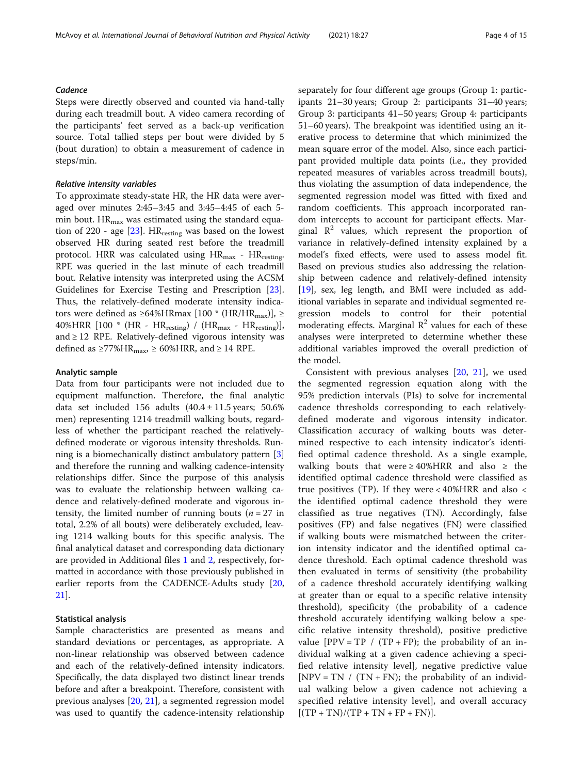# **Cadence**

Steps were directly observed and counted via hand-tally during each treadmill bout. A video camera recording of the participants' feet served as a back-up verification source. Total tallied steps per bout were divided by 5 (bout duration) to obtain a measurement of cadence in steps/min.

## Relative intensity variables

To approximate steady-state HR, the HR data were averaged over minutes 2:45–3:45 and 3:45–4:45 of each 5 min bout.  $HR_{max}$  was estimated using the standard equation of 220 - age  $[23]$ .  $HR_{\text{resting}}$  was based on the lowest observed HR during seated rest before the treadmill protocol. HRR was calculated using  $HR_{max}$  -  $HR_{resting}$ . RPE was queried in the last minute of each treadmill bout. Relative intensity was interpreted using the ACSM Guidelines for Exercise Testing and Prescription [\[23](#page-13-0)]. Thus, the relatively-defined moderate intensity indicators were defined as ≥64%HRmax [100  $*$  (HR/HR<sub>max</sub>)], ≥  $40\% \mathrm{HRR}$  [100  $^{*}$  (HR -  $\mathrm{HR_{resting}})$  /  $(\mathrm{HR_{max}}$  -  $\mathrm{HR_{resting}})],$ and  $\geq$  12 RPE. Relatively-defined vigorous intensity was defined as ≥77%HR<sub>max</sub>, ≥ 60%HRR, and ≥ 14 RPE.

# Analytic sample

Data from four participants were not included due to equipment malfunction. Therefore, the final analytic data set included 156 adults  $(40.4 \pm 11.5 \text{ years}; 50.6\%$ men) representing 1214 treadmill walking bouts, regardless of whether the participant reached the relativelydefined moderate or vigorous intensity thresholds. Running is a biomechanically distinct ambulatory pattern [[3](#page-13-0)] and therefore the running and walking cadence-intensity relationships differ. Since the purpose of this analysis was to evaluate the relationship between walking cadence and relatively-defined moderate and vigorous intensity, the limited number of running bouts ( $n = 27$  in total, 2.2% of all bouts) were deliberately excluded, leaving 1214 walking bouts for this specific analysis. The final analytical dataset and corresponding data dictionary are provided in Additional files [1](#page--1-0) and [2,](#page--1-0) respectively, formatted in accordance with those previously published in earlier reports from the CADENCE-Adults study [[20](#page-13-0), [21\]](#page-13-0).

# Statistical analysis

Sample characteristics are presented as means and standard deviations or percentages, as appropriate. A non-linear relationship was observed between cadence and each of the relatively-defined intensity indicators. Specifically, the data displayed two distinct linear trends before and after a breakpoint. Therefore, consistent with previous analyses [[20](#page-13-0), [21](#page-13-0)], a segmented regression model was used to quantify the cadence-intensity relationship separately for four different age groups (Group 1: participants 21–30 years; Group 2: participants 31–40 years; Group 3: participants 41–50 years; Group 4: participants 51–60 years). The breakpoint was identified using an iterative process to determine that which minimized the mean square error of the model. Also, since each participant provided multiple data points (i.e., they provided repeated measures of variables across treadmill bouts), thus violating the assumption of data independence, the segmented regression model was fitted with fixed and random coefficients. This approach incorporated random intercepts to account for participant effects. Marginal  $\mathbb{R}^2$  values, which represent the proportion of variance in relatively-defined intensity explained by a model's fixed effects, were used to assess model fit. Based on previous studies also addressing the relationship between cadence and relatively-defined intensity [[19\]](#page-13-0), sex, leg length, and BMI were included as additional variables in separate and individual segmented regression models to control for their potential moderating effects. Marginal  $\mathbb{R}^2$  values for each of these analyses were interpreted to determine whether these additional variables improved the overall prediction of the model.

Consistent with previous analyses [\[20](#page-13-0), [21](#page-13-0)], we used the segmented regression equation along with the 95% prediction intervals (PIs) to solve for incremental cadence thresholds corresponding to each relativelydefined moderate and vigorous intensity indicator. Classification accuracy of walking bouts was determined respective to each intensity indicator's identified optimal cadence threshold. As a single example, walking bouts that were  $\geq 40\%$ HRR and also  $\geq$  the identified optimal cadence threshold were classified as true positives (TP). If they were  $<$  40%HRR and also  $<$ the identified optimal cadence threshold they were classified as true negatives (TN). Accordingly, false positives (FP) and false negatives (FN) were classified if walking bouts were mismatched between the criterion intensity indicator and the identified optimal cadence threshold. Each optimal cadence threshold was then evaluated in terms of sensitivity (the probability of a cadence threshold accurately identifying walking at greater than or equal to a specific relative intensity threshold), specificity (the probability of a cadence threshold accurately identifying walking below a specific relative intensity threshold), positive predictive value  $[PPV = TP / (TP + FP)$ ; the probability of an individual walking at a given cadence achieving a specified relative intensity level], negative predictive value  $[NPV = TN / (TN + FN)$ ; the probability of an individual walking below a given cadence not achieving a specified relative intensity level], and overall accuracy  $[(TP + TN)/(TP + TN + FP + FN)].$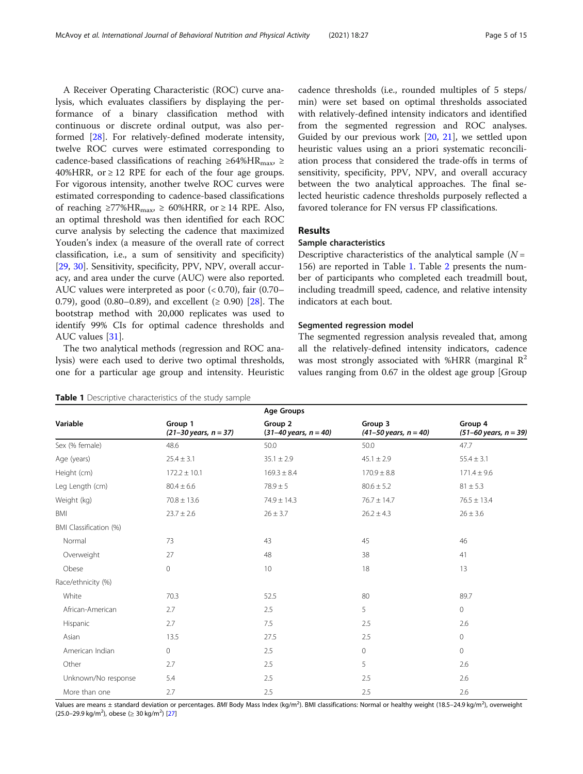A Receiver Operating Characteristic (ROC) curve analysis, which evaluates classifiers by displaying the performance of a binary classification method with continuous or discrete ordinal output, was also performed [[28](#page-13-0)]. For relatively-defined moderate intensity, twelve ROC curves were estimated corresponding to cadence-based classifications of reaching ≥64%HR<sub>max</sub>, ≥  $40\%$ HRR, or  $\geq 12$  RPE for each of the four age groups. For vigorous intensity, another twelve ROC curves were estimated corresponding to cadence-based classifications of reaching ≥77%HR<sub>max</sub>, ≥ 60%HRR, or ≥ 14 RPE. Also, an optimal threshold was then identified for each ROC curve analysis by selecting the cadence that maximized Youden's index (a measure of the overall rate of correct classification, i.e., a sum of sensitivity and specificity) [[29,](#page-13-0) [30\]](#page-13-0). Sensitivity, specificity, PPV, NPV, overall accuracy, and area under the curve (AUC) were also reported. AUC values were interpreted as poor (< 0.70), fair (0.70– 0.79), good (0.80–0.89), and excellent ( $\geq$  0.90) [[28](#page-13-0)]. The bootstrap method with 20,000 replicates was used to identify 99% CIs for optimal cadence thresholds and AUC values [\[31](#page-13-0)].

The two analytical methods (regression and ROC analysis) were each used to derive two optimal thresholds, one for a particular age group and intensity. Heuristic

|  |  |  | Table 1 Descriptive characteristics of the study sample |  |  |  |  |
|--|--|--|---------------------------------------------------------|--|--|--|--|
|--|--|--|---------------------------------------------------------|--|--|--|--|

cadence thresholds (i.e., rounded multiples of 5 steps/ min) were set based on optimal thresholds associated with relatively-defined intensity indicators and identified from the segmented regression and ROC analyses. Guided by our previous work [[20](#page-13-0), [21](#page-13-0)], we settled upon heuristic values using an a priori systematic reconciliation process that considered the trade-offs in terms of sensitivity, specificity, PPV, NPV, and overall accuracy between the two analytical approaches. The final selected heuristic cadence thresholds purposely reflected a favored tolerance for FN versus FP classifications.

# **Results**

# Sample characteristics

Descriptive characteristics of the analytical sample  $(N =$ 156) are reported in Table 1. Table [2](#page-5-0) presents the number of participants who completed each treadmill bout, including treadmill speed, cadence, and relative intensity indicators at each bout.

# Segmented regression model

The segmented regression analysis revealed that, among all the relatively-defined intensity indicators, cadence was most strongly associated with %HRR (marginal  $\mathbb{R}^2$ values ranging from 0.67 in the oldest age group [Group

|                        |                                              | <b>Age Groups</b>                            |                                         |                                              |
|------------------------|----------------------------------------------|----------------------------------------------|-----------------------------------------|----------------------------------------------|
| Variable               | Group 1<br>$(21 - 30 \text{ years}, n = 37)$ | Group 2<br>$(31 - 40 \text{ years}, n = 40)$ | Group 3<br>$(41 - 50$ years, $n = 40$ ) | Group 4<br>$(51 - 60 \text{ years}, n = 39)$ |
| Sex (% female)         | 48.6                                         | 50.0                                         | 50.0                                    | 47.7                                         |
| Age (years)            | $25.4 \pm 3.1$                               | $35.1 \pm 2.9$                               | $45.1 \pm 2.9$                          | $55.4 \pm 3.1$                               |
| Height (cm)            | $172.2 \pm 10.1$                             | $169.3 \pm 8.4$                              | $170.9 \pm 8.8$                         | $171.4 \pm 9.6$                              |
| Leg Length (cm)        | $80.4 \pm 6.6$                               | $78.9 \pm 5$                                 | $80.6 \pm 5.2$                          | $81 \pm 5.3$                                 |
| Weight (kg)            | $70.8 \pm 13.6$                              | $74.9 \pm 14.3$                              | $76.7 \pm 14.7$                         | $76.5 \pm 13.4$                              |
| BMI                    | $23.7 \pm 2.6$                               | $26 \pm 3.7$                                 | $26.2 \pm 4.3$                          | $26 \pm 3.6$                                 |
| BMI Classification (%) |                                              |                                              |                                         |                                              |
| Normal                 | 73                                           | 43                                           | 45                                      | 46                                           |
| Overweight             | 27                                           | 48                                           | 38                                      | 41                                           |
| Obese                  | 0                                            | 10                                           | 18                                      | 13                                           |
| Race/ethnicity (%)     |                                              |                                              |                                         |                                              |
| White                  | 70.3                                         | 52.5                                         | 80                                      | 89.7                                         |
| African-American       | 2.7                                          | 2.5                                          | 5                                       | $\mathbf{0}$                                 |
| Hispanic               | 2.7                                          | 7.5                                          | 2.5                                     | 2.6                                          |
| Asian                  | 13.5                                         | 27.5                                         | 2.5                                     | $\mathbf 0$                                  |
| American Indian        | $\circ$                                      | 2.5                                          | $\mathbf{0}$                            | $\circ$                                      |
| Other                  | 2.7                                          | 2.5                                          | 5                                       | 2.6                                          |
| Unknown/No response    | 5.4                                          | 2.5                                          | 2.5                                     | 2.6                                          |
| More than one          | 2.7                                          | 2.5                                          | 2.5                                     | 2.6                                          |

Values are means ± standard deviation or percentages. BMI Body Mass Index (kg/m<sup>2</sup>). BMI classifications: Normal or healthy weight (18.5–24.9 kg/m<sup>2</sup>), overweight (25.0–29.9 kg/m<sup>2</sup>), obese ( $\geq 30$  kg/m<sup>2</sup>) [[27\]](#page-13-0)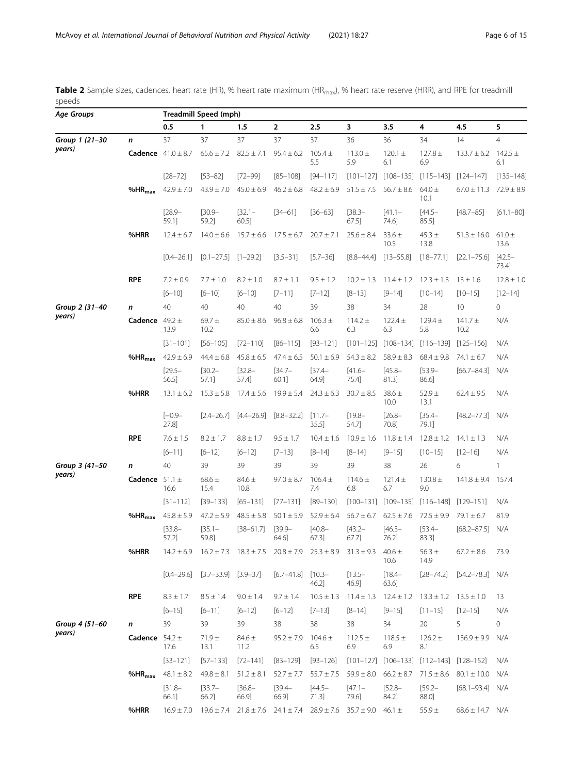<span id="page-5-0"></span>Table 2 Sample sizes, cadences, heart rate (HR), % heart rate maximum (HR<sub>max</sub>), % heart rate reserve (HRR), and RPE for treadmill speeds

| Age Groups     |                    |                               | <b>Treadmill Speed (mph)</b>                                                              |                    |                            |                               |                                                                                           |                         |                                                 |                                    |                    |
|----------------|--------------------|-------------------------------|-------------------------------------------------------------------------------------------|--------------------|----------------------------|-------------------------------|-------------------------------------------------------------------------------------------|-------------------------|-------------------------------------------------|------------------------------------|--------------------|
|                |                    | 0.5                           | $\mathbf{1}$                                                                              | 1.5                | $\overline{2}$             | 2.5                           | 3                                                                                         | 3.5                     | 4                                               | 4.5                                | 5                  |
| Group 1 (21-30 | n                  | 37                            | 37                                                                                        | 37                 | 37                         | 37                            | 36                                                                                        | 36                      | 34                                              | 14                                 | $\overline{4}$     |
| years)         |                    | <b>Cadence</b> $41.0 \pm 8.7$ | $65.6 \pm 7.2$ $82.5 \pm 7.1$                                                             |                    | $95.4 \pm 6.2$             | $105.4 \pm$<br>5.5            | $113.0 \pm$<br>5.9                                                                        | $120.1 \pm$<br>6.1      | $127.8 \pm$<br>6.9                              | $133.7 \pm 6.2$                    | 142.5 $\pm$<br>6.1 |
|                |                    | $[28 - 72]$                   | $[53 - 82]$                                                                               | $[72 - 99]$        | $[85 - 108]$               | $[94 - 117]$                  |                                                                                           | $[101-127]$ $[108-135]$ | $[115 - 143]$                                   | $[124 - 147]$                      | $[135 - 148]$      |
|                | $%HR_{max}$        | $42.9 \pm 7.0$                | $43.9 \pm 7.0$                                                                            | $45.0 \pm 6.9$     | $46.2 \pm 6.8$             | $48.2 \pm 6.9$                | $51.5 \pm 7.5$                                                                            | $56.7 \pm 8.6$          | $64.0 \pm$<br>10.1                              | $67.0 \pm 11.3$                    | $72.9 \pm 8.9$     |
|                |                    | $[28.9 -$<br>59.1]            | $[30.9 -$<br>59.2]                                                                        | $[32.1 -$<br>60.5] | $[34 - 61]$                | $[36 - 63]$                   | $[38.3 -$<br>67.5]                                                                        | $[41.1 -$<br>74.6]      | $[44.5 -$<br>85.5]                              | $[48.7 - 85]$                      | $[61.1 - 80]$      |
|                | %HRR               | $12.4 \pm 6.7$                | $14.0 \pm 6.6$                                                                            | $15.7 \pm 6.6$     | $17.5 \pm 6.7$             | $20.7 \pm 7.1$                | $25.6 \pm 8.4$                                                                            | $33.6 \pm$<br>10.5      | $45.3 \pm$<br>13.8                              | $51.3 \pm 16.0$                    | $61.0 \pm$<br>13.6 |
|                |                    | $[0.4 - 26.1]$                | $[0.1-27.5]$ $[1-29.2]$                                                                   |                    | $[3.5 - 31]$               | $[5.7 - 36]$                  | $[8.8 - 44.4]$                                                                            | $[13 - 55.8]$           | $[18 - 77.1]$                                   | $[22.1 - 75.6]$                    | $[42.5 -$<br>73.4] |
|                | <b>RPE</b>         | $7.2 \pm 0.9$                 | $7.7 \pm 1.0$                                                                             | $8.2 \pm 1.0$      | $8.7 \pm 1.1$              | $9.5 \pm 1.2$                 | $10.2 \pm 1.3$                                                                            | $11.4 \pm 1.2$          | $12.3 \pm 1.3$                                  | $13 \pm 1.6$                       | $12.8 \pm 1.0$     |
|                |                    | $[6 - 10]$                    | $[6 - 10]$                                                                                | $[6 - 10]$         | $[7 - 11]$                 | $[7 - 12]$                    | $[8 - 13]$                                                                                | $[9 - 14]$              | $[10 - 14]$                                     | $[10 - 15]$                        | $[12 - 14]$        |
| Group 2 (31-40 | n                  | 40                            | 40                                                                                        | 40                 | 40                         | 39                            | 38                                                                                        | 34                      | 28                                              | 10                                 | 0                  |
| years)         | Cadence $49.2 \pm$ | 13.9                          | $69.7 \pm$<br>10.2                                                                        | $85.0 \pm 8.6$     | $96.8 \pm 6.8$             | $106.3 \pm$<br>6.6            | $114.2 \pm$<br>6.3                                                                        | $122.4 \pm$<br>6.3      | $129.4 \pm$<br>5.8                              | $141.7 \pm$<br>10.2                | N/A                |
|                |                    | $[31 - 101]$                  | $[56 - 105]$                                                                              | $[72 - 110]$       | $[86 - 115]$               | $[93 - 121]$                  | $[101 - 125]$                                                                             | $[108 - 134]$           | $[116 - 139]$                                   | $[125 - 156]$                      | N/A                |
|                | $%HR_{max}$        | $42.9 \pm 6.9$                | $44.4 \pm 6.8$                                                                            | $45.8 \pm 6.5$     | $47.4 \pm 6.5$             | $50.1 \pm 6.9$                | $54.3 \pm 8.2$                                                                            | $58.9 \pm 8.3$          | $68.4 \pm 9.8$                                  | $74.1 \pm 6.7$                     | N/A                |
|                |                    | $[29.5 -$<br>56.5]            | $[30.2 -$<br>57.1]                                                                        | $[32.8 -$<br>57.4] | $[34.7-$<br>60.1]          | $[37.4 -$<br>64.9]            | $[41.6-$<br>$75.4$ ]                                                                      | $[45.8 -$<br>81.3]      | $[53.9-$<br>86.6]                               | $[66.7 - 84.3]$ N/A                |                    |
|                | %HRR               | $13.1 \pm 6.2$                | $15.3 \pm 5.8$                                                                            | $17.4 \pm 5.6$     | $19.9 \pm 5.4$             | $24.3 \pm 6.3$                | $30.7 \pm 8.5$                                                                            | $38.6 \pm$<br>10.0      | $52.9 \pm$<br>13.1                              | $62.4 \pm 9.5$                     | N/A                |
|                |                    | $[-0.9 -$<br>27.8]            | $[2.4 - 26.7]$                                                                            | $[4.4 - 26.9]$     | $[8.8 - 32.2]$             | $[11.7-$<br>$35.5$ ]          | $[19.8 -$<br>54.7]                                                                        | $[26.8 -$<br>70.8]      | $[35.4 -$<br>79.1]                              | $[48.2 - 77.3]$ N/A                |                    |
|                | <b>RPE</b>         | $7.6 \pm 1.5$                 | $8.2 \pm 1.7$                                                                             | $8.8\pm1.7$        | $9.5 \pm 1.7$              | $10.4 \pm 1.6$                | $10.9 \pm 1.6$                                                                            | $11.8 \pm 1.4$          | $12.8 \pm 1.2$                                  | $14.1 \pm 1.3$                     | N/A                |
|                |                    | $[6 - 11]$                    | $[6 - 12]$                                                                                | $[6 - 12]$         | $[7 - 13]$                 | $[8 - 14]$                    | $[8 - 14]$                                                                                | $[9 - 15]$              | $[10 - 15]$                                     | $[12 - 16]$                        | N/A                |
| Group 3 (41-50 | n                  | 40                            | 39                                                                                        | 39                 | 39                         | 39                            | 39                                                                                        | 38                      | 26                                              | 6                                  | $\mathbf{1}$       |
| years)         | Cadence $51.1 \pm$ | 16.6                          | $68.6 \pm$<br>15.4                                                                        | $84.6 \pm$<br>10.8 | $97.0 \pm 8.7$             | $106.4 \pm$<br>7.4            | $114.6 \pm$<br>6.8                                                                        | $121.4 \pm$<br>6.7      | $130.8 \pm$<br>9.0                              | $141.8 \pm 9.4$ 157.4              |                    |
|                |                    | $[31 - 112]$                  | $[39 - 133]$                                                                              | $[65 - 131]$       | $[77 - 131]$               | $[89 - 130]$                  | $[100 - 131]$                                                                             | $[109 - 135]$           | $[116 - 148]$                                   | $[129 - 151]$                      | N/A                |
|                | $%HR_{max}$        | $45.8 \pm 5.9$                | $47.2 \pm 5.9$                                                                            | $48.5 \pm 5.8$     | $50.1 \pm 5.9$             | $52.9 \pm 6.4$                | $56.7 \pm 6.7$                                                                            | $62.5 \pm 7.6$          | $72.5 \pm 9.9$                                  | $79.1 \pm 6.7$                     | 81.9               |
|                |                    | $[33.8-$<br>57.2]             | $[35.1 -$<br>59.8]                                                                        | $[38 - 61.7]$      | $[39.9-$<br>64.6]          | $[40.8 -$<br>67.3]            | $[43.2 -$<br>67.7]                                                                        | $[46.3 -$<br>76.2]      | $[53.4 -$<br>83.3]                              | $[68.2 - 87.5]$ N/A                |                    |
|                | %HRR               |                               | $14.2 \pm 6.9$ $16.2 \pm 7.3$ $18.3 \pm 7.5$ $20.8 \pm 7.9$ $25.3 \pm 8.9$ $31.3 \pm 9.3$ |                    |                            |                               |                                                                                           | $40.6 \pm$<br>10.6      | $56.3 \pm$<br>14.9                              | $67.2 \pm 8.6$                     | 73.9               |
|                |                    |                               | $[0.4-29.6]$ $[3.7-33.9]$ $[3.9-37]$                                                      |                    | $[6.7-41.8]$ $[10.3-$      | 46.2]                         | $[13.5-$<br>46.9]                                                                         | $[18.4 -$<br>63.6]      |                                                 | $[28-74.2]$ $[54.2-78.3]$ N/A      |                    |
|                | <b>RPE</b>         | $8.3 \pm 1.7$                 | $8.5 \pm 1.4$                                                                             | $9.0 \pm 1.4$      | $9.7 \pm 1.4$              | $10.5 \pm 1.3$                | $11.4 \pm 1.3$                                                                            |                         | $12.4 \pm 1.2$ $13.3 \pm 1.2$ $13.5 \pm 1.0$    |                                    | 13                 |
|                |                    | $[6 - 15]$                    | $[6 - 11]$                                                                                | $[6 - 12]$         | $[6 - 12]$                 | $[7-13]$                      | $[8 - 14]$                                                                                | $[9 - 15]$              | $[11 - 15]$                                     | $[12 - 15]$                        | N/A                |
| Group 4 (51-60 | n                  | 39                            | 39                                                                                        | 39                 | 38                         | 38                            | 38                                                                                        | 34                      | 20                                              | 5                                  | 0                  |
| years)         | Cadence $54.2 \pm$ | 17.6                          | $71.9 +$<br>13.1                                                                          | $84.6 \pm$<br>11.2 | $95.2 \pm 7.9$ 104.6 $\pm$ | 6.5                           | $112.5 \pm$<br>6.9                                                                        | $118.5 \pm$<br>6.9      | $126.2 \pm$<br>8.1                              | $136.9 \pm 9.9$ N/A                |                    |
|                |                    | $[33 - 121]$                  | $[57 - 133]$                                                                              | $[72 - 141]$       | $[83 - 129]$               | $[93 - 126]$                  |                                                                                           |                         | $[101-127]$ $[106-133]$ $[112-143]$ $[128-152]$ |                                    | N/A                |
|                | $%HR_{max}$        | $48.1 \pm 8.2$                | $49.8 \pm 8.1$                                                                            | $51.2 \pm 8.1$     |                            | $52.7 \pm 7.7$ $55.7 \pm 7.5$ | $59.9 \pm 8.0$                                                                            | $66.2 \pm 8.7$          |                                                 | $71.5 \pm 8.6$ 80.1 $\pm$ 10.0 N/A |                    |
|                |                    | $[31.8 -$<br>66.1]            | $[33.7-$<br>66.2]                                                                         | $[36.8 -$<br>66.9] | $[39.4 -$<br>66.9]         | $[44.5 -$<br>71.3]            | $[47.1 -$<br>79.6]                                                                        | $[52.8 -$<br>84.2]      | $[59.2 -$<br>88.0]                              | $[68.1 - 93.4]$ N/A                |                    |
|                | %HRR               | $16.9 \pm 7.0$                |                                                                                           |                    |                            |                               | $19.6 \pm 7.4$ $21.8 \pm 7.6$ $24.1 \pm 7.4$ $28.9 \pm 7.6$ $35.7 \pm 9.0$ $46.1 \pm 7.4$ |                         | $55.9 +$                                        | $68.6 \pm 14.7$ N/A                |                    |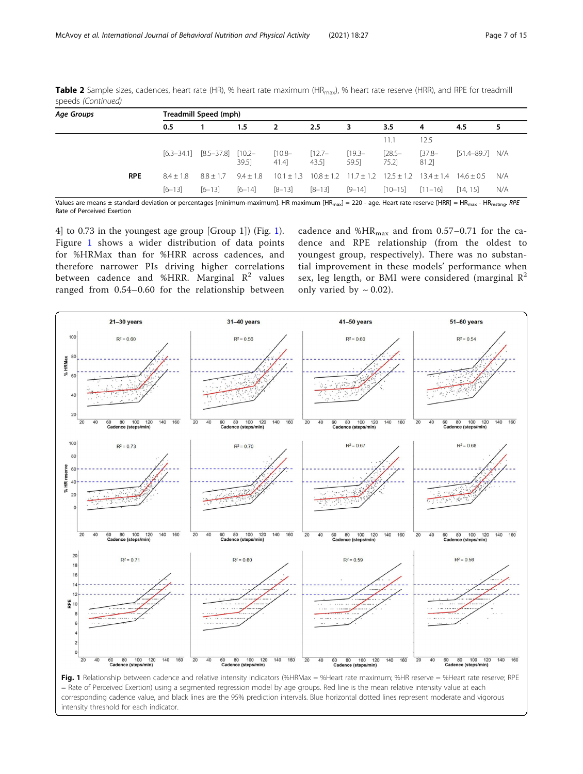| Age Groups | Treadmill Speed (mph) |                |                |                   |                   |                  |                           |                       |                   |                     |     |
|------------|-----------------------|----------------|----------------|-------------------|-------------------|------------------|---------------------------|-----------------------|-------------------|---------------------|-----|
|            |                       | 0.5            |                | $1.5\,$           | -2                | $2.5\phantom{0}$ | 3                         | 3.5                   | 4                 | 4.5                 | 5   |
|            |                       |                |                |                   |                   |                  |                           | 11.1                  | 12.5              |                     |     |
|            |                       | $[6.3 - 34.1]$ | $[8.5 - 37.8]$ | $[10.2 -$<br>39.5 | $[10.8 -$<br>41.4 | $[12.7-$<br>43.5 | $[19.3-$<br>59.5]         | $[28.5 -$<br>$75.2$ ] | $[37.8-$<br>81.2] | $[51.4 - 89.7]$ N/A |     |
|            | <b>RPE</b>            | $8.4 + 1.8$    | $8.8 + 1.7$    | $9.4 + 1.8$       | $10.1 + 1.3$      |                  | $10.8 + 1.2$ $11.7 + 1.2$ | $125 + 12$            | $13.4 + 1.4$      | $14.6 + 0.5$        | N/A |
|            |                       | $[6 - 13]$     | $[6 - 13]$     | $[6 - 14]$        | $[8 - 13]$        | $[8 - 13]$       | $[9 - 14]$                | $[10 - 15]$           | $[11 - 16]$       | [14, 15]            | N/A |

Table 2 Sample sizes, cadences, heart rate (HR), % heart rate maximum (HR<sub>max</sub>), % heart rate reserve (HRR), and RPE for treadmill speeds (Continued)

Values are means ± standard deviation or percentages [minimum-maximum]. HR maximum [HR<sub>max</sub>] = 220 - age. Heart rate reserve [HRR] = HR<sub>max</sub> - HR<sub>resting</sub>. RPE Rate of Perceived Exertion

4] to 0.73 in the youngest age group [Group 1]) (Fig. 1). Figure 1 shows a wider distribution of data points for %HRMax than for %HRR across cadences, and therefore narrower PIs driving higher correlations between cadence and %HRR. Marginal  $R^2$  values ranged from 0.54–0.60 for the relationship between

cadence and % $HR_{max}$  and from 0.57–0.71 for the cadence and RPE relationship (from the oldest to youngest group, respectively). There was no substantial improvement in these models' performance when sex, leg length, or BMI were considered (marginal  $\mathbb{R}^2$ only varied by  $\sim 0.02$ ).



intensity threshold for each indicator.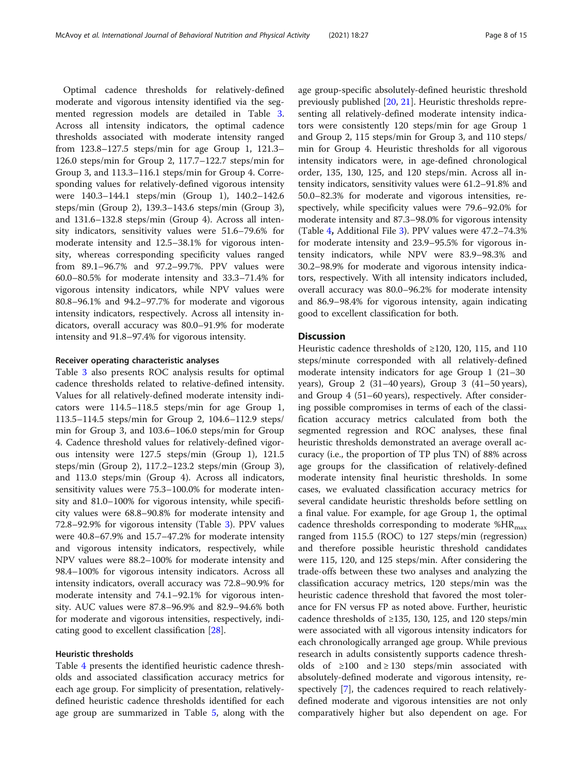Optimal cadence thresholds for relatively-defined moderate and vigorous intensity identified via the segmented regression models are detailed in Table 3. Across all intensity indicators, the optimal cadence thresholds associated with moderate intensity ranged from 123.8–127.5 steps/min for age Group 1, 121.3– 126.0 steps/min for Group 2, 117.7–122.7 steps/min for Group 3, and 113.3–116.1 steps/min for Group 4. Corresponding values for relatively-defined vigorous intensity were 140.3–144.1 steps/min (Group 1), 140.2–142.6 steps/min (Group 2), 139.3–143.6 steps/min (Group 3), and 131.6–132.8 steps/min (Group 4). Across all intensity indicators, sensitivity values were 51.6–79.6% for moderate intensity and 12.5–38.1% for vigorous intensity, whereas corresponding specificity values ranged from 89.1–96.7% and 97.2–99.7%. PPV values were 60.0–80.5% for moderate intensity and 33.3–71.4% for vigorous intensity indicators, while NPV values were 80.8–96.1% and 94.2–97.7% for moderate and vigorous intensity indicators, respectively. Across all intensity indicators, overall accuracy was 80.0–91.9% for moderate intensity and 91.8–97.4% for vigorous intensity.

#### Receiver operating characteristic analyses

Table 3 also presents ROC analysis results for optimal cadence thresholds related to relative-defined intensity. Values for all relatively-defined moderate intensity indicators were 114.5–118.5 steps/min for age Group 1, 113.5–114.5 steps/min for Group 2, 104.6–112.9 steps/ min for Group 3, and 103.6–106.0 steps/min for Group 4. Cadence threshold values for relatively-defined vigorous intensity were 127.5 steps/min (Group 1), 121.5 steps/min (Group 2), 117.2–123.2 steps/min (Group 3), and 113.0 steps/min (Group 4). Across all indicators, sensitivity values were 75.3–100.0% for moderate intensity and 81.0–100% for vigorous intensity, while specificity values were 68.8–90.8% for moderate intensity and 72.8–92.9% for vigorous intensity (Table 3). PPV values were 40.8–67.9% and 15.7–47.2% for moderate intensity and vigorous intensity indicators, respectively, while NPV values were 88.2–100% for moderate intensity and 98.4–100% for vigorous intensity indicators. Across all intensity indicators, overall accuracy was 72.8–90.9% for moderate intensity and 74.1–92.1% for vigorous intensity. AUC values were 87.8–96.9% and 82.9–94.6% both for moderate and vigorous intensities, respectively, indicating good to excellent classification [28].

# Heuristic thresholds

Table 4 presents the identified heuristic cadence thresholds and associated classification accuracy metrics for each age group. For simplicity of presentation, relativelydefined heuristic cadence thresholds identified for each age group are summarized in Table 5, along with the

age group-specific absolutely-defined heuristic threshold previously published [20, 21]. Heuristic thresholds representing all relatively-defined moderate intensity indicators were consistently 120 steps/min for age Group 1 and Group 2, 115 steps/min for Group 3, and 110 steps/ min for Group 4. Heuristic thresholds for all vigorous intensity indicators were, in age-defined chronological order, 135, 130, 125, and 120 steps/min. Across all intensity indicators, sensitivity values were 61.2–91.8% and 50.0–82.3% for moderate and vigorous intensities, respectively, while specificity values were 79.6–92.0% for moderate intensity and 87.3–98.0% for vigorous intensity (Table 4, Additional File 3). PPV values were 47.2–74.3% for moderate intensity and 23.9–95.5% for vigorous intensity indicators, while NPV were 83.9–98.3% and 30.2–98.9% for moderate and vigorous intensity indicators, respectively. With all intensity indicators included, overall accuracy was 80.0–96.2% for moderate intensity and 86.9–98.4% for vigorous intensity, again indicating good to excellent classification for both.

# **Discussion**

Heuristic cadence thresholds of ≥120, 120, 115, and 110 steps/minute corresponded with all relatively-defined moderate intensity indicators for age Group 1 (21–30 years), Group 2 (31–40 years), Group 3 (41–50 years), and Group 4 (51–60 years), respectively. After considering possible compromises in terms of each of the classification accuracy metrics calculated from both the segmented regression and ROC analyses, these final heuristic thresholds demonstrated an average overall accuracy (i.e., the proportion of TP plus TN) of 88% across age groups for the classification of relatively-defined moderate intensity final heuristic thresholds. In some cases, we evaluated classification accuracy metrics for several candidate heuristic thresholds before settling on a final value. For example, for age Group 1, the optimal cadence thresholds corresponding to moderate  $%HR_{max}$ ranged from 115.5 (ROC) to 127 steps/min (regression) and therefore possible heuristic threshold candidates were 115, 120, and 125 steps/min. After considering the trade-offs between these two analyses and analyzing the classification accuracy metrics, 120 steps/min was the heuristic cadence threshold that favored the most tolerance for FN versus FP as noted above. Further, heuristic cadence thresholds of  $\geq$ 135, 130, 125, and 120 steps/min were associated with all vigorous intensity indicators for each chronologically arranged age group. While previous research in adults consistently supports cadence thresholds of  $\geq 100$  and  $\geq 130$  steps/min associated with absolutely-defined moderate and vigorous intensity, respectively [7], the cadences required to reach relativelydefined moderate and vigorous intensities are not only comparatively higher but also dependent on age. For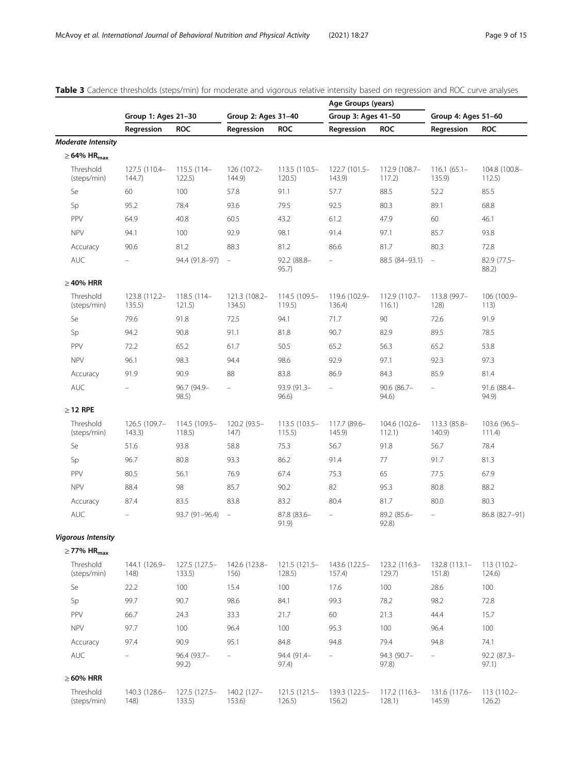|                              |                          |                         |                          |                           | Age Groups (years)       |                         |                          |                         |  |
|------------------------------|--------------------------|-------------------------|--------------------------|---------------------------|--------------------------|-------------------------|--------------------------|-------------------------|--|
|                              | Group 1: Ages 21-30      |                         | Group 2: Ages 31-40      |                           | Group 3: Ages 41-50      |                         | Group 4: Ages 51-60      |                         |  |
|                              | Regression               | <b>ROC</b>              | Regression               | <b>ROC</b>                | Regression               | <b>ROC</b>              | Regression               | <b>ROC</b>              |  |
| <b>Moderate Intensity</b>    |                          |                         |                          |                           |                          |                         |                          |                         |  |
| $\geq$ 64% HR <sub>max</sub> |                          |                         |                          |                           |                          |                         |                          |                         |  |
| Threshold<br>(steps/min)     | 127.5 (110.4-<br>144.7)  | 115.5 (114-<br>122.5)   | 126 (107.2-<br>144.9)    | 113.5 (110.5-<br>120.5)   | 122.7 (101.5-<br>143.9   | 112.9 (108.7-<br>117.2) | $116.1(65.1 -$<br>135.9  | 104.8 (100.8-<br>112.5) |  |
| Se                           | 60                       | 100                     | 57.8                     | 91.1                      | 57.7                     | 88.5                    | 52.2                     | 85.5                    |  |
| Sp                           | 95.2                     | 78.4                    | 93.6                     | 79.5                      | 92.5                     | 80.3                    | 89.1                     | 68.8                    |  |
| PPV                          | 64.9                     | 40.8                    | 60.5                     | 43.2                      | 61.2                     | 47.9                    | 60                       | 46.1                    |  |
| <b>NPV</b>                   | 94.1                     | 100                     | 92.9                     | 98.1                      | 91.4                     | 97.1                    | 85.7                     | 93.8                    |  |
| Accuracy                     | 90.6                     | 81.2                    | 88.3                     | 81.2                      | 86.6                     | 81.7                    | 80.3                     | 72.8                    |  |
| <b>AUC</b>                   |                          | 94.4 (91.8-97)          | $\equiv$                 | 92.2 (88.8-<br>95.7)      | $\equiv$                 | 88.5 (84-93.1)          | $\equiv$                 | 82.9 (77.5-<br>88.2)    |  |
| $\geq$ 40% HRR               |                          |                         |                          |                           |                          |                         |                          |                         |  |
| Threshold<br>(steps/min)     | 123.8 (112.2-<br>135.5)  | 118.5 (114-<br>121.5)   | 121.3 (108.2-<br>134.5)  | 114.5 (109.5-<br>119.5)   | 119.6 (102.9-<br>136.4)  | 112.9 (110.7-<br>116.1) | 113.8 (99.7-<br>128)     | 106 (100.9-<br>113)     |  |
| Se                           | 79.6                     | 91.8                    | 72.5                     | 94.1                      | 71.7                     | 90                      | 72.6                     | 91.9                    |  |
| Sp                           | 94.2                     | 90.8                    | 91.1                     | 81.8                      | 90.7                     | 82.9                    | 89.5                     | 78.5                    |  |
| PPV                          | 72.2                     | 65.2                    | 61.7                     | 50.5                      | 65.2                     | 56.3                    | 65.2                     | 53.8                    |  |
| <b>NPV</b>                   | 96.1                     | 98.3                    | 94.4                     | 98.6                      | 92.9                     | 97.1                    | 92.3                     | 97.3                    |  |
| Accuracy                     | 91.9                     | 90.9                    | 88                       | 83.8                      | 86.9                     | 84.3                    | 85.9                     | 81.4                    |  |
| AUC                          |                          | 96.7 (94.9-<br>98.5)    | ÷                        | 93.9 (91.3-<br>96.6)      | ÷                        | $90.6$ (86.7-<br>94.6)  | $\overline{\phantom{0}}$ | 91.6 (88.4-<br>94.9)    |  |
| $\geq$ 12 RPE                |                          |                         |                          |                           |                          |                         |                          |                         |  |
| Threshold<br>(steps/min)     | 126.5 (109.7-<br>143.3)  | 114.5 (109.5-<br>118.5) | 120.2 (93.5-<br>147)     | 113.5 (103.5-<br>115.5)   | 117.7 (89.6-<br>145.9    | 104.6 (102.6-<br>112.1) | 113.3 (85.8-<br>140.9    | 103.6 (96.5-<br>111.4)  |  |
| Se                           | 51.6                     | 93.8                    | 58.8                     | 75.3                      | 56.7                     | 91.8                    | 56.7                     | 78.4                    |  |
| Sp                           | 96.7                     | 80.8                    | 93.3                     | 86.2                      | 91.4                     | 77                      | 91.7                     | 81.3                    |  |
| PPV                          | 80.5                     | 56.1                    | 76.9                     | 67.4                      | 75.3                     | 65                      | 77.5                     | 67.9                    |  |
| <b>NPV</b>                   | 88.4                     | 98                      | 85.7                     | 90.2                      | 82                       | 95.3                    | 80.8                     | 88.2                    |  |
| Accuracy                     | 87.4                     | 83.5                    | 83.8                     | 83.2                      | 80.4                     | 81.7                    | 80.0                     | 80.3                    |  |
| <b>AUC</b>                   |                          | 93.7 (91-96.4)          | $\overline{\phantom{a}}$ | 87.8 (83.6-<br>91.9)      | $\overline{\phantom{0}}$ | 89.2 (85.6-<br>92.8)    | $\overline{\phantom{0}}$ | 86.8 (82.7-91)          |  |
| <b>Vigorous Intensity</b>    |                          |                         |                          |                           |                          |                         |                          |                         |  |
| $\geq$ 77% HR <sub>max</sub> |                          |                         |                          |                           |                          |                         |                          |                         |  |
| Threshold<br>(steps/min)     | 144.1 (126.9-<br>148)    | 127.5 (127.5-<br>133.5) | 142.6 (123.8-<br>156)    | 121.5 (121.5-<br>128.5)   | 143.6 (122.5-<br>157.4)  | 123.2 (116.3-<br>129.7) | $132.8(113.1 -$<br>151.8 | 113 (110.2-<br>124.6)   |  |
| Se                           | 22.2                     | 100                     | 15.4                     | 100                       | 17.6                     | 100                     | 28.6                     | 100                     |  |
| Sp                           | 99.7                     | 90.7                    | 98.6                     | 84.1                      | 99.3                     | 78.2                    | 98.2                     | 72.8                    |  |
| PPV                          | 66.7                     | 24.3                    | 33.3                     | 21.7                      | 60                       | 21.3                    | 44.4                     | 15.7                    |  |
| <b>NPV</b>                   | 97.7                     | 100                     | 96.4                     | 100                       | 95.3                     | 100                     | 96.4                     | 100                     |  |
| Accuracy                     | 97.4                     | 90.9                    | 95.1                     | 84.8                      | 94.8                     | 79.4                    | 94.8                     | 74.1                    |  |
| <b>AUC</b>                   | $\overline{\phantom{m}}$ | 96.4 (93.7-<br>99.2)    | $\overline{\phantom{0}}$ | 94.4 (91.4-<br>97.4)      | $\overline{\phantom{0}}$ | 94.3 (90.7-<br>97.8)    | ÷                        | $92.2 (87.3 -$<br>97.1) |  |
| $\geq 60\%$ HRR              |                          |                         |                          |                           |                          |                         |                          |                         |  |
| Threshold<br>(steps/min)     | 140.3 (128.6-<br>148)    | 127.5 (127.5-<br>133.5) | 140.2 (127-<br>153.6)    | $121.5(121.5 -$<br>126.5) | 139.3 (122.5-<br>156.2)  | 117.2 (116.3-<br>128.1) | 131.6 (117.6-<br>145.9   | 113 (110.2-<br>126.2)   |  |

Table 3 Cadence thresholds (steps/min) for moderate and vigorous relative intensity based on regression and ROC curve analyses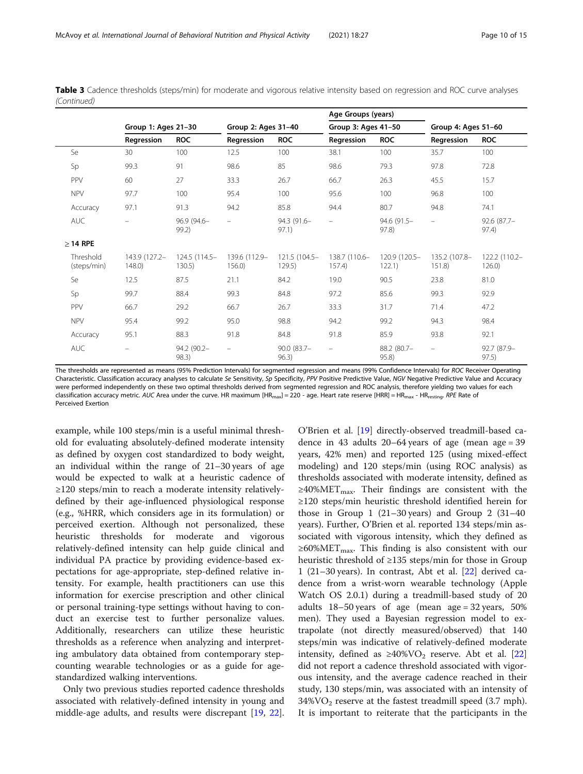|                          |                          |                         |                          |                         | Age Groups (years)       |                         |                          |                            |
|--------------------------|--------------------------|-------------------------|--------------------------|-------------------------|--------------------------|-------------------------|--------------------------|----------------------------|
|                          |                          | Group 1: Ages 21-30     |                          | Group 2: Ages 31-40     |                          | Group 3: Ages 41-50     |                          | Group 4: Ages 51-60        |
|                          | Regression               | <b>ROC</b>              | Regression               | <b>ROC</b>              | Regression               | <b>ROC</b>              | Regression               | <b>ROC</b>                 |
| Se                       | 30                       | 100                     | 12.5                     | 100                     | 38.1                     | 100                     | 35.7                     | 100                        |
| Sp                       | 99.3                     | 91                      | 98.6                     | 85                      | 98.6                     | 79.3                    | 97.8                     | 72.8                       |
| <b>PPV</b>               | 60                       | 27                      | 33.3                     | 26.7                    | 66.7                     | 26.3                    | 45.5                     | 15.7                       |
| <b>NPV</b>               | 97.7                     | 100                     | 95.4                     | 100                     | 95.6                     | 100                     | 96.8                     | 100                        |
| Accuracy                 | 97.1                     | 91.3                    | 94.2                     | 85.8                    | 94.4                     | 80.7                    | 94.8                     | 74.1                       |
| <b>AUC</b>               | $=$                      | 96.9 (94.6-<br>99.2)    | $\qquad \qquad -$        | 94.3 (91.6-<br>97.1)    | $\overline{\phantom{m}}$ | 94.6 (91.5-<br>97.8)    | $\overline{\phantom{m}}$ | $92.6(87.7 -$<br>97.4)     |
| $\geq$ 14 RPE            |                          |                         |                          |                         |                          |                         |                          |                            |
| Threshold<br>(steps/min) | 143.9 (127.2-<br>148.0   | 124.5 (114.5-<br>130.5) | 139.6 (112.9-<br>156.0   | 121.5 (104.5-<br>129.5) | 138.7 (110.6-<br>157.4   | 120.9 (120.5-<br>122.1) | 135.2 (107.8-<br>151.8   | 122.2 (110.2-<br>$126.0$ ) |
| Se                       | 12.5                     | 87.5                    | 21.1                     | 84.2                    | 19.0                     | 90.5                    | 23.8                     | 81.0                       |
| Sp                       | 99.7                     | 88.4                    | 99.3                     | 84.8                    | 97.2                     | 85.6                    | 99.3                     | 92.9                       |
| <b>PPV</b>               | 66.7                     | 29.2                    | 66.7                     | 26.7                    | 33.3                     | 31.7                    | 71.4                     | 47.2                       |
| <b>NPV</b>               | 95.4                     | 99.2                    | 95.0                     | 98.8                    | 94.2                     | 99.2                    | 94.3                     | 98.4                       |
| Accuracy                 | 95.1                     | 88.3                    | 91.8                     | 84.8                    | 91.8                     | 85.9                    | 93.8                     | 92.1                       |
| <b>AUC</b>               | $\overline{\phantom{m}}$ | 94.2 (90.2-<br>98.3)    | $\overline{\phantom{m}}$ | 90.0 (83.7-<br>96.3)    | $\overline{\phantom{a}}$ | 88.2 (80.7-<br>95.8)    | $\overline{\phantom{a}}$ | 92.7 (87.9-<br>97.5)       |

Table 3 Cadence thresholds (steps/min) for moderate and vigorous relative intensity based on regression and ROC curve analyses (Continued)

The thresholds are represented as means (95% Prediction Intervals) for segmented regression and means (99% Confidence Intervals) for ROC Receiver Operating Characteristic. Classification accuracy analyses to calculate Se Sensitivity, Sp Specificity, PPV Positive Predictive Value, NGV Negative Predictive Value and Accuracy were performed independently on these two optimal thresholds derived from segmented regression and ROC analysis, therefore yielding two values for each classification accuracy metric. AUC Area under the curve. HR maximum  $[HR_{max}] = 220$  - age. Heart rate reserve  $[HRR] = HR_{max}$  -  $HR_{resing}$ .  $RPE$  Rate of Perceived Exertion

example, while 100 steps/min is a useful minimal threshold for evaluating absolutely-defined moderate intensity as defined by oxygen cost standardized to body weight, an individual within the range of 21–30 years of age would be expected to walk at a heuristic cadence of ≥120 steps/min to reach a moderate intensity relativelydefined by their age-influenced physiological response (e.g., %HRR, which considers age in its formulation) or perceived exertion. Although not personalized, these heuristic thresholds for moderate and vigorous relatively-defined intensity can help guide clinical and individual PA practice by providing evidence-based expectations for age-appropriate, step-defined relative intensity. For example, health practitioners can use this information for exercise prescription and other clinical or personal training-type settings without having to conduct an exercise test to further personalize values. Additionally, researchers can utilize these heuristic thresholds as a reference when analyzing and interpreting ambulatory data obtained from contemporary stepcounting wearable technologies or as a guide for agestandardized walking interventions.

Only two previous studies reported cadence thresholds associated with relatively-defined intensity in young and middle-age adults, and results were discrepant [\[19](#page-13-0), [22](#page-13-0)].

O'Brien et al. [[19\]](#page-13-0) directly-observed treadmill-based cadence in 43 adults 20–64 years of age (mean age = 39 years, 42% men) and reported 125 (using mixed-effect modeling) and 120 steps/min (using ROC analysis) as thresholds associated with moderate intensity, defined as  $\geq$ 40%MET<sub>max</sub>. Their findings are consistent with the ≥120 steps/min heuristic threshold identified herein for those in Group 1  $(21-30 \text{ years})$  and Group 2  $(31-40 \text{ years})$ years). Further, O'Brien et al. reported 134 steps/min associated with vigorous intensity, which they defined as  $\geq 60\% \text{MET}_{\text{max}}$ . This finding is also consistent with our heuristic threshold of ≥135 steps/min for those in Group 1 (21–30 years). In contrast, Abt et al. [[22\]](#page-13-0) derived cadence from a wrist-worn wearable technology (Apple Watch OS 2.0.1) during a treadmill-based study of 20 adults 18–50 years of age (mean age = 32 years, 50% men). They used a Bayesian regression model to extrapolate (not directly measured/observed) that 140 steps/min was indicative of relatively-defined moderate intensity, defined as  $\geq 40\%$ VO<sub>2</sub> reserve. Abt et al. [[22](#page-13-0)] did not report a cadence threshold associated with vigorous intensity, and the average cadence reached in their study, 130 steps/min, was associated with an intensity of  $34\%$ VO<sub>2</sub> reserve at the fastest treadmill speed (3.7 mph). It is important to reiterate that the participants in the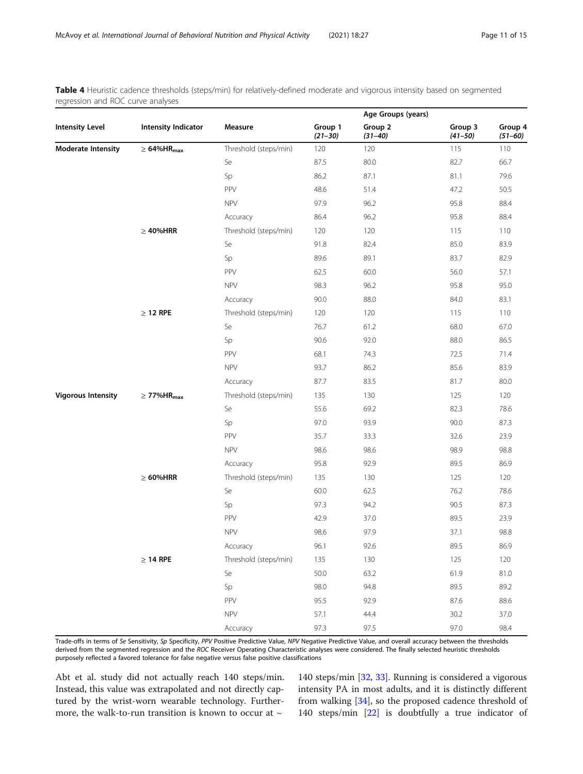Table 4 Heuristic cadence thresholds (steps/min) for relatively-defined moderate and vigorous intensity based on segmented regression and ROC curve analyses

|                           |                               |                       |                        | Age Groups (years)     |                        |                        |
|---------------------------|-------------------------------|-----------------------|------------------------|------------------------|------------------------|------------------------|
| <b>Intensity Level</b>    | Intensity Indicator           | Measure               | Group 1<br>$(21 - 30)$ | Group 2<br>$(31 - 40)$ | Group 3<br>$(41 - 50)$ | Group 4<br>$(51 - 60)$ |
| <b>Moderate Intensity</b> | $\geq 64\%$ HR <sub>max</sub> | Threshold (steps/min) | 120                    | 120                    | 115                    | 110                    |
|                           |                               | Se                    | 87.5                   | 80.0                   | 82.7                   | 66.7                   |
|                           |                               | Sp                    | 86.2                   | 87.1                   | 81.1                   | 79.6                   |
|                           |                               | PPV                   | 48.6                   | 51.4                   | 47.2                   | 50.5                   |
|                           |                               | <b>NPV</b>            | 97.9                   | 96.2                   | 95.8                   | 88.4                   |
|                           |                               | Accuracy              | 86.4                   | 96.2                   | 95.8                   | 88.4                   |
|                           | $\geq 40\%$ HRR               | Threshold (steps/min) | 120                    | 120                    | 115                    | 110                    |
|                           |                               | Se                    | 91.8                   | 82.4                   | 85.0                   | 83.9                   |
|                           |                               | Sp                    | 89.6                   | 89.1                   | 83.7                   | 82.9                   |
|                           |                               | PPV                   | 62.5                   | 60.0                   | 56.0                   | 57.1                   |
|                           |                               | <b>NPV</b>            | 98.3                   | 96.2                   | 95.8                   | 95.0                   |
|                           |                               | Accuracy              | 90.0                   | 88.0                   | 84.0                   | 83.1                   |
|                           | $\geq$ 12 RPE                 | Threshold (steps/min) | 120                    | 120                    | 115                    | 110                    |
|                           |                               | Se                    | 76.7                   | 61.2                   | 68.0                   | 67.0                   |
|                           |                               | Sp                    | 90.6                   | 92.0                   | 88.0                   | 86.5                   |
|                           |                               | PPV                   | 68.1                   | 74.3                   | 72.5                   | 71.4                   |
|                           |                               | <b>NPV</b>            | 93.7                   | 86.2                   | 85.6                   | 83.9                   |
|                           |                               | Accuracy              | 87.7                   | 83.5                   | 81.7                   | 80.0                   |
| <b>Vigorous Intensity</b> | $\geq$ 77% HR $_{\rm max}$    | Threshold (steps/min) | 135                    | 130                    | 125                    | 120                    |
|                           |                               | Se                    | 55.6                   | 69.2                   | 82.3                   | 78.6                   |
|                           |                               | Sp                    | 97.0                   | 93.9                   | 90.0                   | 87.3                   |
|                           |                               | PPV                   | 35.7                   | 33.3                   | 32.6                   | 23.9                   |
|                           |                               | <b>NPV</b>            | 98.6                   | 98.6                   | 98.9                   | 98.8                   |
|                           |                               | Accuracy              | 95.8                   | 92.9                   | 89.5                   | 86.9                   |
|                           | $\geq 60\%$ HRR               | Threshold (steps/min) | 135                    | 130                    | 125                    | 120                    |
|                           |                               | Se                    | 60.0                   | 62.5                   | 76.2                   | 78.6                   |
|                           |                               | Sp                    | 97.3                   | 94.2                   | 90.5                   | 87.3                   |
|                           |                               | PPV                   | 42.9                   | 37.0                   | 89.5                   | 23.9                   |
|                           |                               | <b>NPV</b>            | 98.6                   | 97.9                   | 37.1                   | 98.8                   |
|                           |                               | Accuracy              | 96.1                   | 92.6                   | 89.5                   | 86.9                   |
|                           | $\geq$ 14 RPE                 | Threshold (steps/min) | 135                    | 130                    | 125                    | 120                    |
|                           |                               | Se                    | 50.0                   | 63.2                   | 61.9                   | 81.0                   |
|                           |                               | Sp                    | 98.0                   | 94.8                   | 89.5                   | 89.2                   |
|                           |                               | PPV                   | 95.5                   | 92.9                   | 87.6                   | 88.6                   |
|                           |                               | <b>NPV</b>            | 57.1                   | 44.4                   | 30.2                   | 37.0                   |
|                           |                               | Accuracy              | 97.3                   | 97.5                   | 97.0                   | 98.4                   |

Trade-offs in terms of Se Sensitivity, Sp Specificity, PPV Positive Predictive Value, NPV Negative Predictive Value, and overall accuracy between the thresholds derived from the segmented regression and the ROC Receiver Operating Characteristic analyses were considered. The finally selected heuristic thresholds purposely reflected a favored tolerance for false negative versus false positive classifications

Abt et al. study did not actually reach 140 steps/min. Instead, this value was extrapolated and not directly captured by the wrist-worn wearable technology. Furthermore, the walk-to-run transition is known to occur at  $\sim$ 

140 steps/min [[32,](#page-13-0) [33\]](#page-13-0). Running is considered a vigorous intensity PA in most adults, and it is distinctly different from walking [[34](#page-13-0)], so the proposed cadence threshold of 140 steps/min [\[22\]](#page-13-0) is doubtfully a true indicator of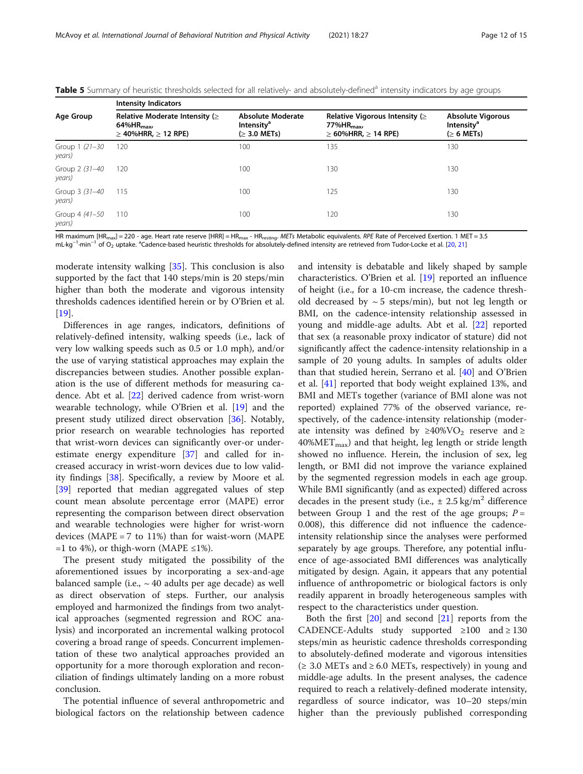| <b>Intensity Indicators</b>                                                                       |                                                                            |                                                                                                    |                                                                          |  |  |  |  |  |
|---------------------------------------------------------------------------------------------------|----------------------------------------------------------------------------|----------------------------------------------------------------------------------------------------|--------------------------------------------------------------------------|--|--|--|--|--|
| Relative Moderate Intensity ( $\geq$<br>$64\%$ HR <sub>max</sub><br>$\geq$ 40%HRR, $\geq$ 12 RPE) | <b>Absolute Moderate</b><br>Intensity <sup>a</sup><br>$($ $\geq$ 3.0 METs) | Relative Vigorous Intensity ( $\geq$<br>$77\%$ HR $_{\text{max}}$<br>$\geq$ 60%HRR, $\geq$ 14 RPE) | <b>Absolute Vigorous</b><br>Intensity <sup>a</sup><br>$($ $\geq 6$ METs) |  |  |  |  |  |
| 120                                                                                               | 100                                                                        | 135                                                                                                | 130                                                                      |  |  |  |  |  |
| 120                                                                                               | 100                                                                        | 130                                                                                                | 130                                                                      |  |  |  |  |  |
| 115                                                                                               | 100                                                                        | 125                                                                                                | 130                                                                      |  |  |  |  |  |
|                                                                                                   | 100                                                                        | 120                                                                                                | 130                                                                      |  |  |  |  |  |
|                                                                                                   | 110                                                                        |                                                                                                    |                                                                          |  |  |  |  |  |

Table 5 Summary of heuristic thresholds selected for all relatively- and absolutely-defined<sup>a</sup> intensity indicators by age groups

HR maximum [HR<sub>max</sub>] = 220 - age. Heart rate reserve [HRR] = HR<sub>max</sub> - HR<sub>resting</sub>. METs Metabolic equivalents. RPE Rate of Perceived Exertion. 1 MET = 3.5 mL·kg<sup>−1</sup>·min<sup>−1</sup> of O<sub>2</sub> uptake. <sup>a</sup>Cadence-based heuristic thresholds for absolutely-defined intensity are retrieved from Tudor-Locke et al. [[20,](#page-13-0) [21](#page-13-0)]

moderate intensity walking [[35\]](#page-13-0). This conclusion is also supported by the fact that 140 steps/min is 20 steps/min higher than both the moderate and vigorous intensity thresholds cadences identified herein or by O'Brien et al. [[19\]](#page-13-0).

Differences in age ranges, indicators, definitions of relatively-defined intensity, walking speeds (i.e., lack of very low walking speeds such as 0.5 or 1.0 mph), and/or the use of varying statistical approaches may explain the discrepancies between studies. Another possible explanation is the use of different methods for measuring cadence. Abt et al. [\[22\]](#page-13-0) derived cadence from wrist-worn wearable technology, while O'Brien et al. [\[19](#page-13-0)] and the present study utilized direct observation [\[36](#page-13-0)]. Notably, prior research on wearable technologies has reported that wrist-worn devices can significantly over-or underestimate energy expenditure [\[37](#page-13-0)] and called for increased accuracy in wrist-worn devices due to low validity findings [[38](#page-14-0)]. Specifically, a review by Moore et al. [[39\]](#page-14-0) reported that median aggregated values of step count mean absolute percentage error (MAPE) error representing the comparison between direct observation and wearable technologies were higher for wrist-worn devices (MAPE = 7 to 11%) than for waist-worn (MAPE =1 to 4%), or thigh-worn (MAPE  $\leq$ 1%).

The present study mitigated the possibility of the aforementioned issues by incorporating a sex-and-age balanced sample (i.e.,  $\sim$  40 adults per age decade) as well as direct observation of steps. Further, our analysis employed and harmonized the findings from two analytical approaches (segmented regression and ROC analysis) and incorporated an incremental walking protocol covering a broad range of speeds. Concurrent implementation of these two analytical approaches provided an opportunity for a more thorough exploration and reconciliation of findings ultimately landing on a more robust conclusion.

The potential influence of several anthropometric and biological factors on the relationship between cadence and intensity is debatable and likely shaped by sample characteristics. O'Brien et al. [[19\]](#page-13-0) reported an influence of height (i.e., for a 10-cm increase, the cadence threshold decreased by  $\sim$  5 steps/min), but not leg length or BMI, on the cadence-intensity relationship assessed in young and middle-age adults. Abt et al. [[22\]](#page-13-0) reported that sex (a reasonable proxy indicator of stature) did not significantly affect the cadence-intensity relationship in a sample of 20 young adults. In samples of adults older than that studied herein, Serrano et al. [\[40](#page-14-0)] and O'Brien et al. [\[41](#page-14-0)] reported that body weight explained 13%, and BMI and METs together (variance of BMI alone was not reported) explained 77% of the observed variance, respectively, of the cadence-intensity relationship (moderate intensity was defined by  $\geq 40\%$ VO<sub>2</sub> reserve and  $\geq$  $40\% \text{MET}_{\text{max}}$ ) and that height, leg length or stride length showed no influence. Herein, the inclusion of sex, leg length, or BMI did not improve the variance explained by the segmented regression models in each age group. While BMI significantly (and as expected) differed across decades in the present study (i.e.,  $\pm 2.5$  kg/m<sup>2</sup> difference between Group 1 and the rest of the age groups;  $P =$ 0.008), this difference did not influence the cadenceintensity relationship since the analyses were performed separately by age groups. Therefore, any potential influence of age-associated BMI differences was analytically mitigated by design. Again, it appears that any potential influence of anthropometric or biological factors is only readily apparent in broadly heterogeneous samples with respect to the characteristics under question.

Both the first [[20](#page-13-0)] and second [\[21](#page-13-0)] reports from the CADENCE-Adults study supported ≥100 and ≥ 130 steps/min as heuristic cadence thresholds corresponding to absolutely-defined moderate and vigorous intensities (≥ 3.0 METs and ≥ 6.0 METs, respectively) in young and middle-age adults. In the present analyses, the cadence required to reach a relatively-defined moderate intensity, regardless of source indicator, was 10–20 steps/min higher than the previously published corresponding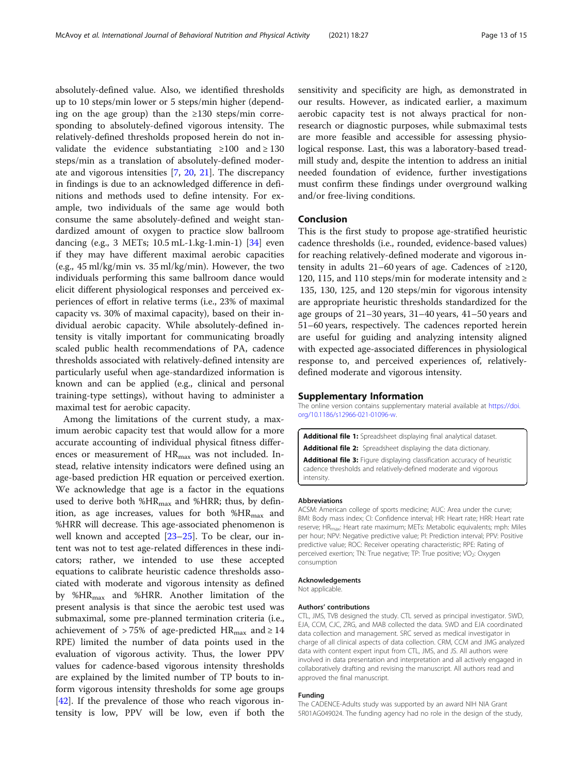absolutely-defined value. Also, we identified thresholds up to 10 steps/min lower or 5 steps/min higher (depending on the age group) than the  $\geq 130$  steps/min corresponding to absolutely-defined vigorous intensity. The relatively-defined thresholds proposed herein do not invalidate the evidence substantiating  $\geq 100$  and  $\geq 130$ steps/min as a translation of absolutely-defined moderate and vigorous intensities [7, 20, 21]. The discrepancy in findings is due to an acknowledged difference in definitions and methods used to define intensity. For example, two individuals of the same age would both consume the same absolutely-defined and weight standardized amount of oxygen to practice slow ballroom dancing (e.g., 3 METs; 10.5 mL-1.kg-1.min-1) [34] even if they may have different maximal aerobic capacities (e.g., 45 ml/kg/min vs. 35 ml/kg/min). However, the two individuals performing this same ballroom dance would elicit different physiological responses and perceived experiences of effort in relative terms (i.e., 23% of maximal capacity vs. 30% of maximal capacity), based on their individual aerobic capacity. While absolutely-defined intensity is vitally important for communicating broadly scaled public health recommendations of PA, cadence thresholds associated with relatively-defined intensity are particularly useful when age-standardized information is known and can be applied (e.g., clinical and personal training-type settings), without having to administer a maximal test for aerobic capacity.

Among the limitations of the current study, a maximum aerobic capacity test that would allow for a more accurate accounting of individual physical fitness differences or measurement of  $HR_{max}$  was not included. Instead, relative intensity indicators were defined using an age-based prediction HR equation or perceived exertion. We acknowledge that age is a factor in the equations used to derive both % $HR_{max}$  and % $HRR$ ; thus, by definition, as age increases, values for both  $%HR_{max}$  and %HRR will decrease. This age-associated phenomenon is well known and accepted [23–25]. To be clear, our intent was not to test age-related differences in these indicators; rather, we intended to use these accepted equations to calibrate heuristic cadence thresholds associated with moderate and vigorous intensity as defined by %HRmax and %HRR. Another limitation of the present analysis is that since the aerobic test used was submaximal, some pre-planned termination criteria (i.e., achievement of > 75% of age-predicted  $HR_{\text{max}}$  and  $\geq 14$ RPE) limited the number of data points used in the evaluation of vigorous activity. Thus, the lower PPV values for cadence-based vigorous intensity thresholds are explained by the limited number of TP bouts to inform vigorous intensity thresholds for some age groups [42]. If the prevalence of those who reach vigorous intensity is low, PPV will be low, even if both the sensitivity and specificity are high, as demonstrated in our results. However, as indicated earlier, a maximum aerobic capacity test is not always practical for nonresearch or diagnostic purposes, while submaximal tests are more feasible and accessible for assessing physiological response. Last, this was a laboratory-based treadmill study and, despite the intention to address an initial needed foundation of evidence, further investigations must confirm these findings under overground walking and/or free-living conditions.

# Conclusion

This is the first study to propose age-stratified heuristic cadence thresholds (i.e., rounded, evidence-based values) for reaching relatively-defined moderate and vigorous intensity in adults 21–60 years of age. Cadences of ≥120, 120, 115, and 110 steps/min for moderate intensity and  $\geq$ 135, 130, 125, and 120 steps/min for vigorous intensity are appropriate heuristic thresholds standardized for the age groups of 21–30 years, 31–40 years, 41–50 years and 51–60 years, respectively. The cadences reported herein are useful for guiding and analyzing intensity aligned with expected age-associated differences in physiological response to, and perceived experiences of, relativelydefined moderate and vigorous intensity.

#### Supplementary Information

The online version contains supplementary material available at [https://doi.](https://doi.org/10.1186/s12966-021-01096-w) [org/10.1186/s12966-021-01096-w.](https://doi.org/10.1186/s12966-021-01096-w)

Additional file 1: Spreadsheet displaying final analytical dataset. Additional file 2: Spreadsheet displaying the data dictionary.

Additional file 3: Figure displaying classification accuracy of heuristic cadence thresholds and relatively-defined moderate and vigorous intensity.

#### Abbreviations

ACSM: American college of sports medicine; AUC: Area under the curve; BMI: Body mass index; CI: Confidence interval; HR: Heart rate; HRR: Heart rate reserve; HR<sub>max</sub>: Heart rate maximum; METs: Metabolic equivalents; mph: Miles per hour; NPV: Negative predictive value; PI: Prediction interval; PPV: Positive predictive value; ROC: Receiver operating characteristic; RPE: Rating of perceived exertion; TN: True negative; TP: True positive; VO<sub>2</sub>: Oxygen consumption

## Acknowledgements

Not applicable.

#### Authors' contributions

CTL, JMS, TVB designed the study. CTL served as principal investigator. SWD, EJA, CCM, CJC, ZRG, and MAB collected the data. SWD and EJA coordinated data collection and management. SRC served as medical investigator in charge of all clinical aspects of data collection. CRM, CCM and JMG analyzed data with content expert input from CTL, JMS, and JS. All authors were involved in data presentation and interpretation and all actively engaged in collaboratively drafting and revising the manuscript. All authors read and approved the final manuscript.

#### Funding

The CADENCE-Adults study was supported by an award NIH NIA Grant 5R01AG049024. The funding agency had no role in the design of the study,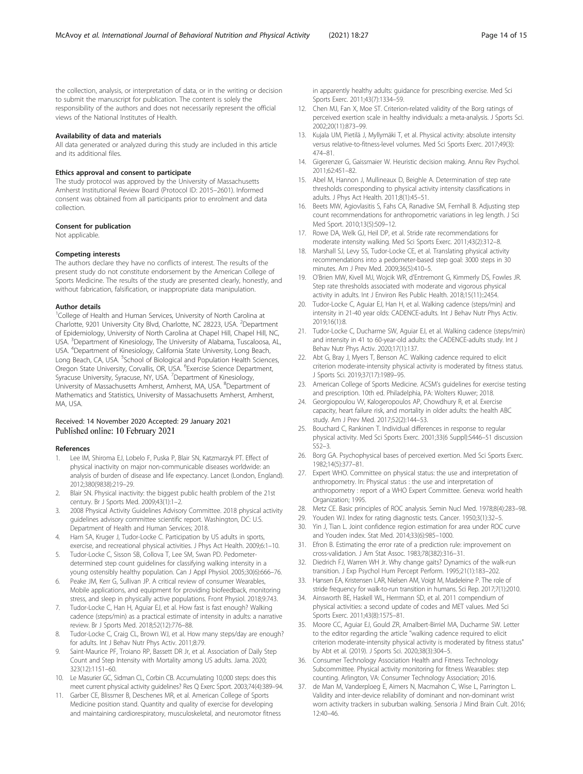<span id="page-13-0"></span>the collection, analysis, or interpretation of data, or in the writing or decision to submit the manuscript for publication. The content is solely the responsibility of the authors and does not necessarily represent the official views of the National Institutes of Health.

#### Availability of data and materials

All data generated or analyzed during this study are included in this article and its additional files.

#### Ethics approval and consent to participate

The study protocol was approved by the University of Massachusetts Amherst Institutional Review Board (Protocol ID: 2015–2601). Informed consent was obtained from all participants prior to enrolment and data collection.

#### Consent for publication

Not applicable.

#### Competing interests

The authors declare they have no conflicts of interest. The results of the present study do not constitute endorsement by the American College of Sports Medicine. The results of the study are presented clearly, honestly, and without fabrication, falsification, or inappropriate data manipulation.

# Author details

<sup>1</sup>College of Health and Human Services, University of North Carolina at Charlotte, 9201 University City Blvd, Charlotte, NC 28223, USA. <sup>2</sup>Department of Epidemiology, University of North Carolina at Chapel Hill, Chapel Hill, NC, USA. <sup>3</sup>Department of Kinesiology, The University of Alabama, Tuscaloosa, AL, USA. <sup>4</sup> Department of Kinesiology, California State University, Long Beach, Long Beach, CA, USA. <sup>5</sup>School of Biological and Population Health Sciences, Oregon State University, Corvallis, OR, USA. <sup>6</sup>Exercise Science Department, Syracuse University, Syracuse, NY, USA. <sup>7</sup>Department of Kinesiology, University of Massachusetts Amherst, Amherst, MA, USA. <sup>8</sup> Department of Mathematics and Statistics, University of Massachusetts Amherst, Amherst, MA, USA.

# Received: 14 November 2020 Accepted: 29 January 2021 Published online: 10 February 2021

#### References

- 1. Lee IM, Shiroma EJ, Lobelo F, Puska P, Blair SN, Katzmarzyk PT. Effect of physical inactivity on major non-communicable diseases worldwide: an analysis of burden of disease and life expectancy. Lancet (London, England). 2012;380(9838):219–29.
- 2. Blair SN. Physical inactivity: the biggest public health problem of the 21st century. Br J Sports Med. 2009;43(1):1–2.
- 3. 2008 Physical Activity Guidelines Advisory Committee. 2018 physical activity guidelines advisory committee scientific report. Washington, DC: U.S. Department of Health and Human Services; 2018.
- 4. Ham SA, Kruger J, Tudor-Locke C. Participation by US adults in sports, exercise, and recreational physical activities. J Phys Act Health. 2009;6:1–10.
- Tudor-Locke C, Sisson SB, Collova T, Lee SM, Swan PD. Pedometerdetermined step count guidelines for classifying walking intensity in a young ostensibly healthy population. Can J Appl Physiol. 2005;30(6):666–76.
- Peake JM, Kerr G, Sullivan JP. A critical review of consumer Wearables, Mobile applications, and equipment for providing biofeedback, monitoring stress, and sleep in physically active populations. Front Physiol. 2018;9:743.
- 7. Tudor-Locke C, Han H, Aguiar EJ, et al. How fast is fast enough? Walking cadence (steps/min) as a practical estimate of intensity in adults: a narrative review. Br J Sports Med. 2018;52(12):776–88.
- Tudor-Locke C, Craig CL, Brown WJ, et al. How many steps/day are enough? for adults. Int J Behav Nutr Phys Activ. 2011;8:79.
- 9. Saint-Maurice PF, Troiano RP, Bassett DR Jr, et al. Association of Daily Step Count and Step Intensity with Mortality among US adults. Jama. 2020; 323(12):1151–60.
- 10. Le Masurier GC, Sidman CL, Corbin CB. Accumulating 10,000 steps: does this meet current physical activity guidelines? Res Q Exerc Sport. 2003;74(4):389–94.
- 11. Garber CE, Blissmer B, Deschenes MR, et al. American College of Sports Medicine position stand. Quantity and quality of exercise for developing and maintaining cardiorespiratory, musculoskeletal, and neuromotor fitness

in apparently healthy adults: guidance for prescribing exercise. Med Sci Sports Exerc. 2011;43(7):1334–59.

- 12. Chen MJ, Fan X, Moe ST. Criterion-related validity of the Borg ratings of perceived exertion scale in healthy individuals: a meta-analysis. J Sports Sci. 2002;20(11):873–99.
- 13. Kujala UM, Pietilä J, Myllymäki T, et al. Physical activity: absolute intensity versus relative-to-fitness-level volumes. Med Sci Sports Exerc. 2017;49(3): 474–81.
- 14. Gigerenzer G, Gaissmaier W. Heuristic decision making. Annu Rev Psychol. 2011;62:451–82.
- 15. Abel M, Hannon J, Mullineaux D, Beighle A. Determination of step rate thresholds corresponding to physical activity intensity classifications in adults. J Phys Act Health. 2011;8(1):45–51.
- 16. Beets MW, Agiovlasitis S, Fahs CA, Ranadive SM, Fernhall B. Adjusting step count recommendations for anthropometric variations in leg length. J Sci Med Sport. 2010;13(5):509–12.
- 17. Rowe DA, Welk GJ, Heil DP, et al. Stride rate recommendations for moderate intensity walking. Med Sci Sports Exerc. 2011;43(2):312–8.
- 18. Marshall SJ, Levy SS, Tudor-Locke CE, et al. Translating physical activity recommendations into a pedometer-based step goal: 3000 steps in 30 minutes. Am J Prev Med. 2009;36(5):410–5.
- 19. O'Brien MW, Kivell MJ, Wojcik WR, d'Entremont G, Kimmerly DS, Fowles JR. Step rate thresholds associated with moderate and vigorous physical activity in adults. Int J Environ Res Public Health. 2018;15(11)::2454.
- 20. Tudor-Locke C, Aguiar EJ, Han H, et al. Walking cadence (steps/min) and intensity in 21-40 year olds: CADENCE-adults. Int J Behav Nutr Phys Activ. 2019;16(1):8.
- 21. Tudor-Locke C, Ducharme SW, Aguiar EJ, et al. Walking cadence (steps/min) and intensity in 41 to 60-year-old adults: the CADENCE-adults study. Int J Behav Nutr Phys Activ. 2020;17(1):137.
- 22. Abt G, Bray J, Myers T, Benson AC. Walking cadence required to elicit criterion moderate-intensity physical activity is moderated by fitness status. J Sports Sci. 2019;37(17):1989–95.
- 23. American College of Sports Medicine. ACSM's guidelines for exercise testing and prescription. 10th ed. Philadelphia, PA: Wolters Kluwer; 2018.
- 24. Georgiopoulou VV, Kalogeropoulos AP, Chowdhury R, et al. Exercise capacity, heart failure risk, and mortality in older adults: the health ABC study. Am J Prev Med. 2017;52(2):144–53.
- 25. Bouchard C, Rankinen T. Individual differences in response to regular physical activity. Med Sci Sports Exerc. 2001;33(6 Suppl):S446–51 discussion  $552 - 3$
- 26. Borg GA. Psychophysical bases of perceived exertion. Med Sci Sports Exerc. 1982;14(5):377–81.
- 27. Expert WHO. Committee on physical status: the use and interpretation of anthropometry. In: Physical status : the use and interpretation of anthropometry : report of a WHO Expert Committee. Geneva: world health Organization; 1995.
- 28. Metz CE. Basic principles of ROC analysis. Semin Nucl Med. 1978;8(4):283–98.
- 29. Youden WJ. Index for rating diagnostic tests. Cancer. 1950;3(1):32–5.
- 30. Yin J, Tian L. Joint confidence region estimation for area under ROC curve and Youden index. Stat Med. 2014;33(6):985–1000.
- 31. Efron B. Estimating the error rate of a prediction rule: improvement on cross-validation. J Am Stat Assoc. 1983;78(382):316–31.
- 32. Diedrich FJ, Warren WH Jr. Why change gaits? Dynamics of the walk-run transition. J Exp Psychol Hum Percept Perform. 1995;21(1):183–202.
- 33. Hansen EA, Kristensen LAR, Nielsen AM, Voigt M, Madeleine P. The role of stride frequency for walk-to-run transition in humans. Sci Rep. 2017;7(1):2010.
- 34. Ainsworth BE, Haskell WL, Herrmann SD, et al. 2011 compendium of physical activities: a second update of codes and MET values. Med Sci Sports Exerc. 2011;43(8):1575–81.
- 35. Moore CC, Aguiar EJ, Gould ZR, Amalbert-Birriel MA, Ducharme SW. Letter to the editor regarding the article "walking cadence required to elicit criterion moderate-intensity physical activity is moderated by fitness status" by Abt et al. (2019). J Sports Sci. 2020;38(3):304–5.
- 36. Consumer Technology Association Health and Fitness Technology Subcommittee. Physical activity monitoring for fitness Wearables: step counting. Arlington, VA: Consumer Technology Association; 2016.
- 37. de Man M, Vanderploeg E, Aimers N, Macmahon C, Wise L, Parrington L. Validity and inter-device reliability of dominant and non-dominant wrist worn activity trackers in suburban walking. Sensoria J Mind Brain Cult. 2016; 12:40–46.